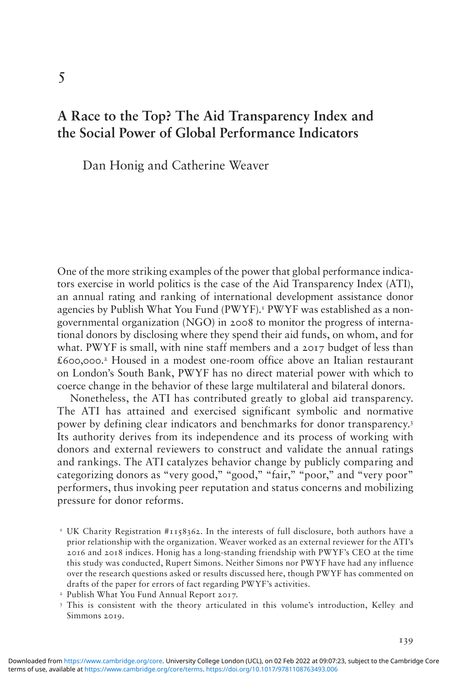# **A Race to the Top? The Aid Transparency Index and the Social Power of Global Performance Indicators**

Dan Honig and Catherine Weaver

One of the more striking examples of the power that global performance indicators exercise in world politics is the case of the Aid Transparency Index (ATI), an annual rating and ranking of international development assistance donor agencies by Publish What You Fund (PWYF).<sup>1</sup> PWYF was established as a nongovernmental organization (NGO) in 2008 to monitor the progress of international donors by disclosing where they spend their aid funds, on whom, and for what. PWYF is small, with nine staff members and a 2017 budget of less than £600,000.2 Housed in a modest one-room office above an Italian restaurant on London's South Bank, PWYF has no direct material power with which to coerce change in the behavior of these large multilateral and bilateral donors.

Nonetheless, the ATI has contributed greatly to global aid transparency. The ATI has attained and exercised significant symbolic and normative power by defining clear indicators and benchmarks for donor transparency.3 Its authority derives from its independence and its process of working with donors and external reviewers to construct and validate the annual ratings and rankings. The ATI catalyzes behavior change by publicly comparing and categorizing donors as "very good," "good," "fair," "poor," and "very poor" performers, thus invoking peer reputation and status concerns and mobilizing pressure for donor reforms.

- <sup>1</sup> UK Charity Registration  $\#1158362$ . In the interests of full disclosure, both authors have a prior relationship with the organization. Weaver worked as an external reviewer for the ATI's 2016 and 2018 indices. Honig has a long-standing friendship with PWYF's CEO at the time this study was conducted, Rupert Simons. Neither Simons nor PWYF have had any influence over the research questions asked or results discussed here, though PWYF has commented on drafts of the paper for errors of fact regarding PWYF's activities.
- <sup>2</sup> Publish What You Fund Annual Report 2017.
- <sup>3</sup> This is consistent with the theory articulated in this volume's introduction, Kelley and Simmons 2019.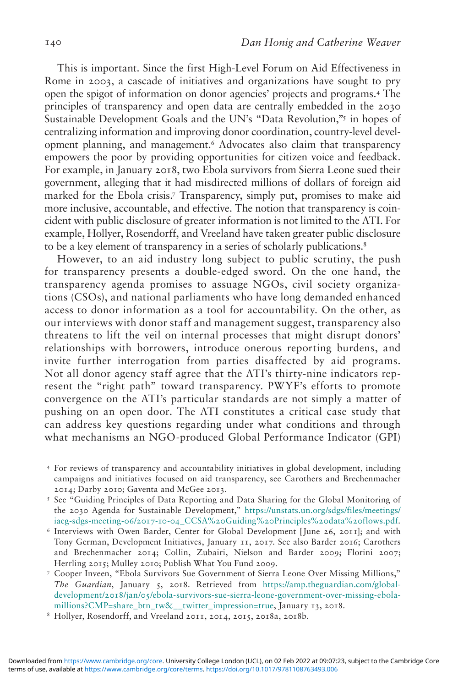This is important. Since the first High-Level Forum on Aid Effectiveness in Rome in 2003, a cascade of initiatives and organizations have sought to pry open the spigot of information on donor agencies' projects and programs.4 The principles of transparency and open data are centrally embedded in the 2030 Sustainable Development Goals and the UN's "Data Revolution,"<sup>5</sup> in hopes of centralizing information and improving donor coordination, country-level development planning, and management.6 Advocates also claim that transparency empowers the poor by providing opportunities for citizen voice and feedback. For example, in January 2018, two Ebola survivors from Sierra Leone sued their government, alleging that it had misdirected millions of dollars of foreign aid marked for the Ebola crisis.7 Transparency, simply put, promises to make aid more inclusive, accountable, and effective. The notion that transparency is coincident with public disclosure of greater information is not limited to the ATI. For example, Hollyer, Rosendorff, and Vreeland have taken greater public disclosure to be a key element of transparency in a series of scholarly publications.<sup>8</sup>

However, to an aid industry long subject to public scrutiny, the push for transparency presents a double-edged sword. On the one hand, the transparency agenda promises to assuage NGOs, civil society organizations (CSOs), and national parliaments who have long demanded enhanced access to donor information as a tool for accountability. On the other, as our interviews with donor staff and management suggest, transparency also threatens to lift the veil on internal processes that might disrupt donors' relationships with borrowers, introduce onerous reporting burdens, and invite further interrogation from parties disaffected by aid programs. Not all donor agency staff agree that the ATI's thirty-nine indicators represent the "right path" toward transparency. PWYF's efforts to promote convergence on the ATI's particular standards are not simply a matter of pushing on an open door. The ATI constitutes a critical case study that can address key questions regarding under what conditions and through what mechanisms an NGO-produced Global Performance Indicator (GPI)

- <sup>4</sup> For reviews of transparency and accountability initiatives in global development, including campaigns and initiatives focused on aid transparency, see Carothers and Brechenmacher 2014; Darby 2010; Gaventa and McGee 2013.
- <sup>5</sup> See "Guiding Principles of Data Reporting and Data Sharing for the Global Monitoring of the 2030 Agenda for Sustainable Development," [https://unstats.un.org/sdgs/files/meetings/](https://unstats.un.org/sdgs/files/meetings/iaeg-sdgs-meeting-06/2017-10-04_CCSA%20Guiding%20Principles%20data%20flows.pdf) [iaeg-sdgs-meeting-06/2017-10-04\\_CCSA%20Guiding%20Principles%20data%20flows.pdf](https://unstats.un.org/sdgs/files/meetings/iaeg-sdgs-meeting-06/2017-10-04_CCSA%20Guiding%20Principles%20data%20flows.pdf).
- <sup>6</sup> Interviews with Owen Barder, Center for Global Development [June 26, 2011]; and with Tony German, Development Initiatives, January 11, 2017. See also Barder 2016; Carothers and Brechenmacher 2014; Collin, Zubairi, Nielson and Barder 2009; Florini 2007; Herrling 2015; Mulley 2010; Publish What You Fund 2009.
- <sup>7</sup> Cooper Inveen, "Ebola Survivors Sue Government of Sierra Leone Over Missing Millions," *The Guardian*, January 5, 2018. Retrieved from [https://amp.theguardian.com/global](https://amp.theguardian.com/global-development/2018/jan/05/ebola-survivors-sue-sierra-leone-government-over-missing-ebola-millions?CMP=share_btn_tw&__twitter_impression=true)[development/2018/jan/05/ebola-survivors-sue-sierra-leone-government-over-missing-ebola](https://amp.theguardian.com/global-development/2018/jan/05/ebola-survivors-sue-sierra-leone-government-over-missing-ebola-millions?CMP=share_btn_tw&__twitter_impression=true)[millions?CMP=share\\_btn\\_tw&\\_\\_twitter\\_impression=true](https://amp.theguardian.com/global-development/2018/jan/05/ebola-survivors-sue-sierra-leone-government-over-missing-ebola-millions?CMP=share_btn_tw&__twitter_impression=true), January 13, 2018.
- <sup>8</sup> Hollyer, Rosendorff, and Vreeland 2011, 2014, 2015, 2018a, 2018b.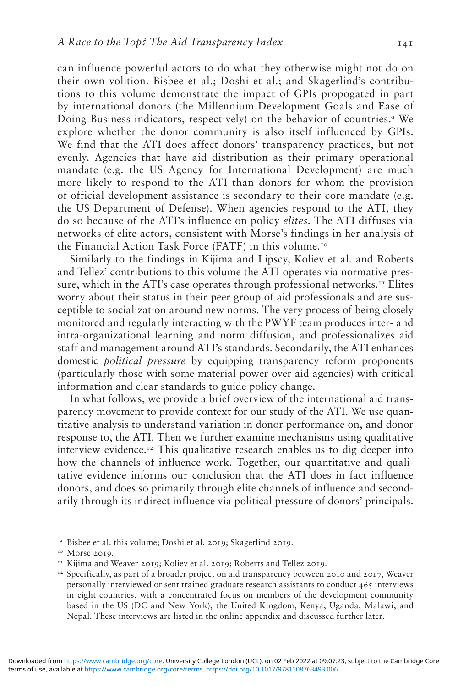can influence powerful actors to do what they otherwise might not do on their own volition. Bisbee et al.; Doshi et al.; and Skagerlind's contributions to this volume demonstrate the impact of GPIs propogated in part by international donors (the Millennium Development Goals and Ease of Doing Business indicators, respectively) on the behavior of countries.9 We explore whether the donor community is also itself influenced by GPIs. We find that the ATI does affect donors' transparency practices, but not evenly. Agencies that have aid distribution as their primary operational mandate (e.g. the US Agency for International Development) are much more likely to respond to the ATI than donors for whom the provision of official development assistance is secondary to their core mandate (e.g. the US Department of Defense). When agencies respond to the ATI, they do so because of the ATI's influence on policy *elites*. The ATI diffuses via networks of elite actors, consistent with Morse's findings in her analysis of the Financial Action Task Force (FATF) in this volume.10

Similarly to the findings in Kijima and Lipscy, Koliev et al. and Roberts and Tellez' contributions to this volume the ATI operates via normative pressure, which in the ATI's case operates through professional networks.<sup>11</sup> Elites worry about their status in their peer group of aid professionals and are susceptible to socialization around new norms. The very process of being closely monitored and regularly interacting with the PWYF team produces inter- and intra-organizational learning and norm diffusion, and professionalizes aid staff and management around ATI's standards. Secondarily, the ATI enhances domestic *political pressure* by equipping transparency reform proponents (particularly those with some material power over aid agencies) with critical information and clear standards to guide policy change.

In what follows, we provide a brief overview of the international aid transparency movement to provide context for our study of the ATI. We use quantitative analysis to understand variation in donor performance on, and donor response to, the ATI. Then we further examine mechanisms using qualitative interview evidence.12 This qualitative research enables us to dig deeper into how the channels of influence work. Together, our quantitative and qualitative evidence informs our conclusion that the ATI does in fact influence donors, and does so primarily through elite channels of influence and secondarily through its indirect influence via political pressure of donors' principals.

<sup>9</sup> Bisbee et al. this volume; Doshi et al. 2019; Skagerlind 2019.

<sup>&</sup>lt;sup>10</sup> Morse 2019.

<sup>&</sup>lt;sup>11</sup> Kijima and Weaver 2019; Koliev et al. 2019; Roberts and Tellez 2019.

<sup>12</sup> Specifically, as part of a broader project on aid transparency between 2010 and 2017, Weaver personally interviewed or sent trained graduate research assistants to conduct 465 interviews in eight countries, with a concentrated focus on members of the development community based in the US (DC and New York), the United Kingdom, Kenya, Uganda, Malawi, and Nepal. These interviews are listed in the online appendix and discussed further later.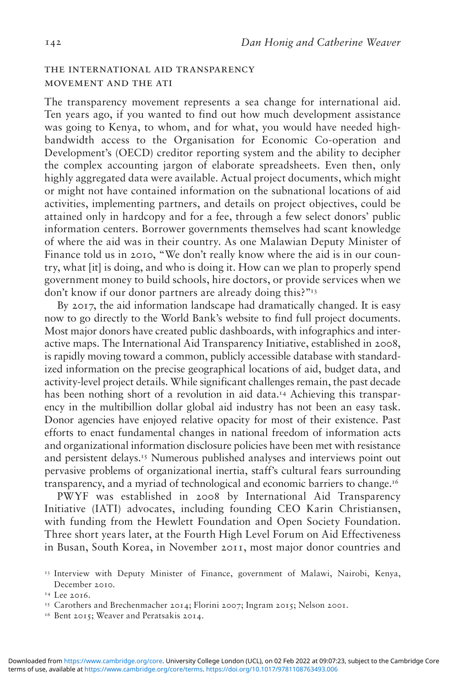# the international aid transparency movement and the ati

The transparency movement represents a sea change for international aid. Ten years ago, if you wanted to find out how much development assistance was going to Kenya, to whom, and for what, you would have needed highbandwidth access to the Organisation for Economic Co-operation and Development's (OECD) creditor reporting system and the ability to decipher the complex accounting jargon of elaborate spreadsheets. Even then, only highly aggregated data were available. Actual project documents, which might or might not have contained information on the subnational locations of aid activities, implementing partners, and details on project objectives, could be attained only in hardcopy and for a fee, through a few select donors' public information centers. Borrower governments themselves had scant knowledge of where the aid was in their country. As one Malawian Deputy Minister of Finance told us in 2010, "We don't really know where the aid is in our country, what [it] is doing, and who is doing it. How can we plan to properly spend government money to build schools, hire doctors, or provide services when we don't know if our donor partners are already doing this?"13

By 2017, the aid information landscape had dramatically changed. It is easy now to go directly to the World Bank's website to find full project documents. Most major donors have created public dashboards, with infographics and interactive maps. The International Aid Transparency Initiative, established in 2008, is rapidly moving toward a common, publicly accessible database with standardized information on the precise geographical locations of aid, budget data, and activity-level project details. While significant challenges remain, the past decade has been nothing short of a revolution in aid data.<sup>14</sup> Achieving this transparency in the multibillion dollar global aid industry has not been an easy task. Donor agencies have enjoyed relative opacity for most of their existence. Past efforts to enact fundamental changes in national freedom of information acts and organizational information disclosure policies have been met with resistance and persistent delays.<sup>15</sup> Numerous published analyses and interviews point out pervasive problems of organizational inertia, staff's cultural fears surrounding transparency, and a myriad of technological and economic barriers to change.16

PWYF was established in 2008 by International Aid Transparency Initiative (IATI) advocates, including founding CEO Karin Christiansen, with funding from the Hewlett Foundation and Open Society Foundation. Three short years later, at the Fourth High Level Forum on Aid Effectiveness in Busan, South Korea, in November 2011, most major donor countries and

<sup>13</sup> Interview with Deputy Minister of Finance, government of Malawi, Nairobi, Kenya, December 2010.

<sup>&</sup>lt;sup>14</sup> Lee 2016.

<sup>&</sup>lt;sup>15</sup> Carothers and Brechenmacher 2014; Florini 2007; Ingram 2015; Nelson 2001.

<sup>&</sup>lt;sup>16</sup> Bent 2015; Weaver and Peratsakis 2014.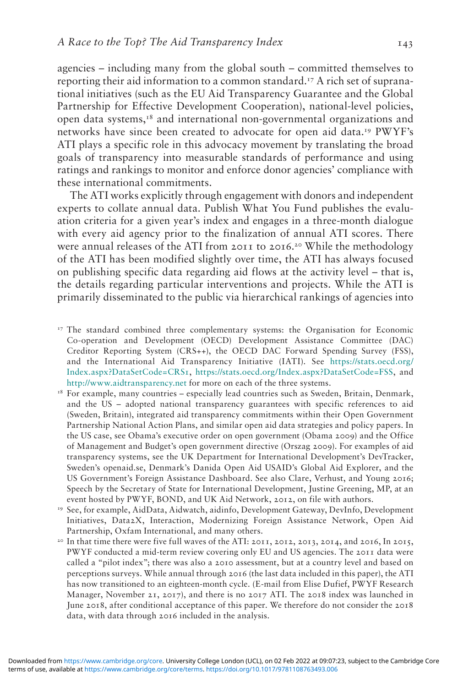agencies – including many from the global south – committed themselves to reporting their aid information to a common standard.17 A rich set of supranational initiatives (such as the EU Aid Transparency Guarantee and the Global Partnership for Effective Development Cooperation), national-level policies, open data systems,<sup>18</sup> and international non-governmental organizations and networks have since been created to advocate for open aid data.19 PWYF's ATI plays a specific role in this advocacy movement by translating the broad goals of transparency into measurable standards of performance and using ratings and rankings to monitor and enforce donor agencies' compliance with these international commitments.

The ATI works explicitly through engagement with donors and independent experts to collate annual data. Publish What You Fund publishes the evaluation criteria for a given year's index and engages in a three-month dialogue with every aid agency prior to the finalization of annual ATI scores. There were annual releases of the ATI from 2011 to 2016.<sup>20</sup> While the methodology of the ATI has been modified slightly over time, the ATI has always focused on publishing specific data regarding aid flows at the activity level – that is, the details regarding particular interventions and projects. While the ATI is primarily disseminated to the public via hierarchical rankings of agencies into

- <sup>17</sup> The standard combined three complementary systems: the Organisation for Economic Co-operation and Development (OECD) Development Assistance Committee (DAC) Creditor Reporting System (CRS++), the OECD DAC Forward Spending Survey (FSS), and the International Aid Transparency Initiative (IATI). See [https://stats.oecd.org/](https://stats.oecd.org/Index.aspx?DataSetCode=CRS1) [Index.aspx?DataSetCode=CRS1](https://stats.oecd.org/Index.aspx?DataSetCode=CRS1), <https://stats.oecd.org/Index.aspx?DataSetCode=FSS>, and <http://www.aidtransparency.net> for more on each of the three systems.
- <sup>18</sup> For example, many countries especially lead countries such as Sweden, Britain, Denmark, and the US – adopted national transparency guarantees with specific references to aid (Sweden, Britain), integrated aid transparency commitments within their Open Government Partnership National Action Plans, and similar open aid data strategies and policy papers. In the US case, see Obama's executive order on open government (Obama 2009) and the Office of Management and Budget's open government directive (Orszag 2009). For examples of aid transparency systems, see the UK Department for International Development's DevTracker, Sweden's openaid.se, Denmark's Danida Open Aid USAID's Global Aid Explorer, and the US Government's Foreign Assistance Dashboard. See also Clare, Verhust, and Young 2016; Speech by the Secretary of State for International Development, Justine Greening, MP, at an event hosted by PWYF, BOND, and UK Aid Network, 2012, on file with authors.
- <sup>19</sup> See, for example, AidData, Aidwatch, aidinfo, Development Gateway, DevInfo, Development Initiatives, Data2X, Interaction, Modernizing Foreign Assistance Network, Open Aid Partnership, Oxfam International, and many others.
- <sup>20</sup> In that time there were five full waves of the ATI:  $20I1$ ,  $20I2$ ,  $20I3$ ,  $20I4$ , and  $20I6$ , In  $20I5$ , PWYF conducted a mid-term review covering only EU and US agencies. The 2011 data were called a "pilot index"; there was also a 2010 assessment, but at a country level and based on perceptions surveys. While annual through 2016 (the last data included in this paper), the ATI has now transitioned to an eighteen-month cycle. (E-mail from Elise Dufief, PWYF Research Manager, November 21, 2017), and there is no 2017 ATI. The 2018 index was launched in June 2018, after conditional acceptance of this paper. We therefore do not consider the 2018 data, with data through 2016 included in the analysis.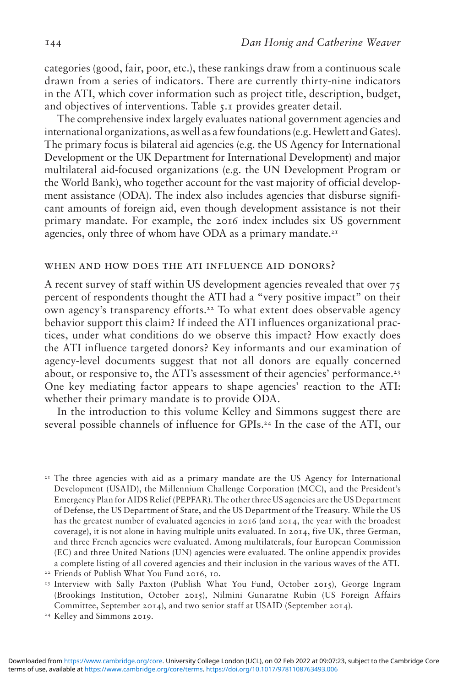categories (good, fair, poor, etc.), these rankings draw from a continuous scale drawn from a series of indicators. There are currently thirty-nine indicators in the ATI, which cover information such as project title, description, budget, and objectives of interventions. Table 5.1 provides greater detail.

The comprehensive index largely evaluates national government agencies and international organizations, as well as a few foundations (e.g. Hewlett and Gates). The primary focus is bilateral aid agencies (e.g. the US Agency for International Development or the UK Department for International Development) and major multilateral aid-focused organizations (e.g. the UN Development Program or the World Bank), who together account for the vast majority of official development assistance (ODA). The index also includes agencies that disburse significant amounts of foreign aid, even though development assistance is not their primary mandate. For example, the 2016 index includes six US government agencies, only three of whom have ODA as a primary mandate.<sup>21</sup>

### when and how does the ati influence aid donors?

A recent survey of staff within US development agencies revealed that over 75 percent of respondents thought the ATI had a "very positive impact" on their own agency's transparency efforts.22 To what extent does observable agency behavior support this claim? If indeed the ATI influences organizational practices, under what conditions do we observe this impact? How exactly does the ATI influence targeted donors? Key informants and our examination of agency-level documents suggest that not all donors are equally concerned about, or responsive to, the ATI's assessment of their agencies' performance.<sup>23</sup> One key mediating factor appears to shape agencies' reaction to the ATI: whether their primary mandate is to provide ODA.

In the introduction to this volume Kelley and Simmons suggest there are several possible channels of influence for GPIs.<sup>24</sup> In the case of the ATI, our

<sup>24</sup> Kelley and Simmons 2019.

<sup>&</sup>lt;sup>21</sup> The three agencies with aid as a primary mandate are the US Agency for International Development (USAID), the Millennium Challenge Corporation (MCC), and the President's Emergency Plan for AIDS Relief (PEPFAR). The other three US agencies are the US Department of Defense, the US Department of State, and the US Department of the Treasury. While the US has the greatest number of evaluated agencies in 2016 (and 2014, the year with the broadest coverage), it is not alone in having multiple units evaluated. In 2014, five UK, three German, and three French agencies were evaluated. Among multilaterals, four European Commission (EC) and three United Nations (UN) agencies were evaluated. The online appendix provides a complete listing of all covered agencies and their inclusion in the various waves of the ATI. <sup>22</sup> Friends of Publish What You Fund 2016, 10.

<sup>23</sup> Interview with Sally Paxton (Publish What You Fund, October 2015), George Ingram (Brookings Institution, October 2015), Nilmini Gunaratne Rubin (US Foreign Affairs Committee, September 2014), and two senior staff at USAID (September 2014).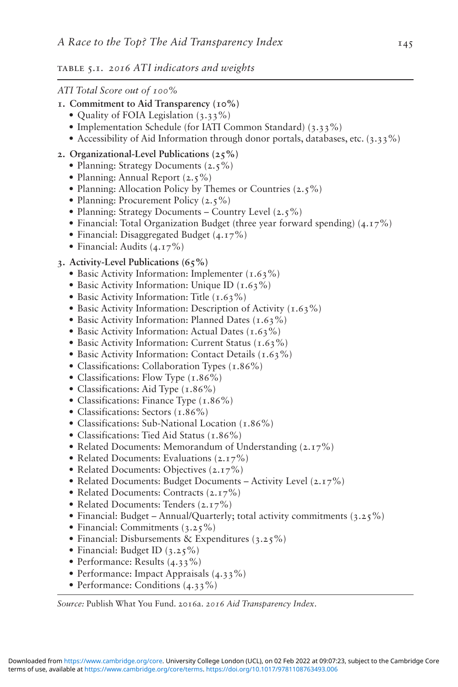#### table 5.1. *2016 ATI indicators and weights*

#### *ATI Total Score out of 100%*

- **1. Commitment to Aid Transparency (10%)**
	- Quality of FOIA Legislation (3.33%)
	- Implementation Schedule (for IATI Common Standard) (3.33%)
	- Accessibility of Aid Information through donor portals, databases, etc. (3.33%)
- **2. Organizational-Level Publications (25%)**
	- Planning: Strategy Documents (2.5%)
	- Planning: Annual Report (2.5%)
	- Planning: Allocation Policy by Themes or Countries (2.5%)
	- Planning: Procurement Policy (2.5%)
	- Planning: Strategy Documents Country Level  $(2.5\%)$
	- Financial: Total Organization Budget (three year forward spending) (4.17%)
	- Financial: Disaggregated Budget (4.17%)
	- Financial: Audits (4.17%)

### **3. Activity-Level Publications (65%)**

- Basic Activity Information: Implementer (1.63%)
- Basic Activity Information: Unique ID  $(1.63\%)$
- Basic Activity Information: Title (1.63%)
- Basic Activity Information: Description of Activity (1.63%)
- Basic Activity Information: Planned Dates (1.63%)
- Basic Activity Information: Actual Dates (1.63%)
- Basic Activity Information: Current Status (1.63%)
- Basic Activity Information: Contact Details (1.63%)
- Classifications: Collaboration Types (1.86%)
- Classifications: Flow Type (1.86%)
- Classifications: Aid Type (1.86%)
- Classifications: Finance Type (1.86%)
- Classifications: Sectors (1.86%)
- Classifications: Sub-National Location (1.86%)
- Classifications: Tied Aid Status (1.86%)
- Related Documents: Memorandum of Understanding (2.17%)
- Related Documents: Evaluations (2.17%)
- Related Documents: Objectives (2.17%)
- Related Documents: Budget Documents Activity Level (2.17%)
- Related Documents: Contracts (2.17%)
- Related Documents: Tenders (2.17%)
- Financial: Budget Annual/Quarterly; total activity commitments (3.25%)
- Financial: Commitments (3.25%)
- Financial: Disbursements & Expenditures (3.25%)
- Financial: Budget ID (3.25%)
- Performance: Results (4.33%)
- Performance: Impact Appraisals (4.33%)
- Performance: Conditions (4.33%)

*Source:* Publish What You Fund. 2016a. *2016 Aid Transparency Index*.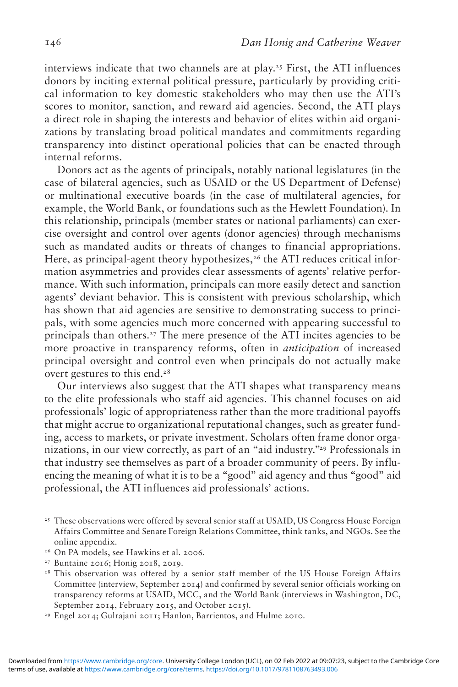interviews indicate that two channels are at play.25 First, the ATI influences donors by inciting external political pressure, particularly by providing critical information to key domestic stakeholders who may then use the ATI's scores to monitor, sanction, and reward aid agencies. Second, the ATI plays a direct role in shaping the interests and behavior of elites within aid organizations by translating broad political mandates and commitments regarding transparency into distinct operational policies that can be enacted through internal reforms.

Donors act as the agents of principals, notably national legislatures (in the case of bilateral agencies, such as USAID or the US Department of Defense) or multinational executive boards (in the case of multilateral agencies, for example, the World Bank, or foundations such as the Hewlett Foundation). In this relationship, principals (member states or national parliaments) can exercise oversight and control over agents (donor agencies) through mechanisms such as mandated audits or threats of changes to financial appropriations. Here, as principal-agent theory hypothesizes, $26$  the ATI reduces critical information asymmetries and provides clear assessments of agents' relative performance. With such information, principals can more easily detect and sanction agents' deviant behavior. This is consistent with previous scholarship, which has shown that aid agencies are sensitive to demonstrating success to principals, with some agencies much more concerned with appearing successful to principals than others.27 The mere presence of the ATI incites agencies to be more proactive in transparency reforms, often in *anticipation* of increased principal oversight and control even when principals do not actually make overt gestures to this end.<sup>28</sup>

Our interviews also suggest that the ATI shapes what transparency means to the elite professionals who staff aid agencies. This channel focuses on aid professionals' logic of appropriateness rather than the more traditional payoffs that might accrue to organizational reputational changes, such as greater funding, access to markets, or private investment. Scholars often frame donor organizations, in our view correctly, as part of an "aid industry."29 Professionals in that industry see themselves as part of a broader community of peers. By influencing the meaning of what it is to be a "good" aid agency and thus "good" aid professional, the ATI influences aid professionals' actions.

- <sup>25</sup> These observations were offered by several senior staff at USAID, US Congress House Foreign Affairs Committee and Senate Foreign Relations Committee, think tanks, and NGOs. See the online appendix.
- <sup>26</sup> On PA models, see Hawkins et al. 2006.
- <sup>27</sup> Buntaine 2016; Honig 2018, 2019.
- <sup>28</sup> This observation was offered by a senior staff member of the US House Foreign Affairs Committee (interview, September 2014) and confirmed by several senior officials working on transparency reforms at USAID, MCC, and the World Bank (interviews in Washington, DC, September 2014, February 2015, and October 2015).
- <sup>29</sup> Engel 2014; Gulrajani 2011; Hanlon, Barrientos, and Hulme 2010.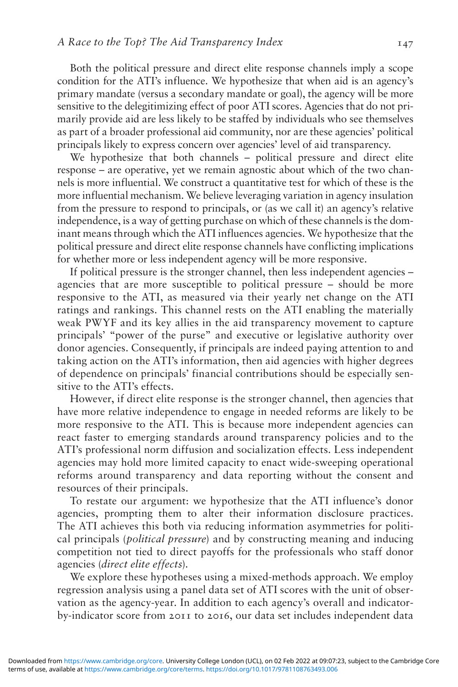Both the political pressure and direct elite response channels imply a scope condition for the ATI's influence. We hypothesize that when aid is an agency's primary mandate (versus a secondary mandate or goal), the agency will be more sensitive to the delegitimizing effect of poor ATI scores. Agencies that do not primarily provide aid are less likely to be staffed by individuals who see themselves as part of a broader professional aid community, nor are these agencies' political principals likely to express concern over agencies' level of aid transparency.

We hypothesize that both channels – political pressure and direct elite response – are operative, yet we remain agnostic about which of the two channels is more influential. We construct a quantitative test for which of these is the more influential mechanism. We believe leveraging variation in agency insulation from the pressure to respond to principals, or (as we call it) an agency's relative independence, is a way of getting purchase on which of these channels is the dominant means through which the ATI influences agencies. We hypothesize that the political pressure and direct elite response channels have conflicting implications for whether more or less independent agency will be more responsive.

If political pressure is the stronger channel, then less independent agencies – agencies that are more susceptible to political pressure – should be more responsive to the ATI, as measured via their yearly net change on the ATI ratings and rankings. This channel rests on the ATI enabling the materially weak PWYF and its key allies in the aid transparency movement to capture principals' "power of the purse" and executive or legislative authority over donor agencies. Consequently, if principals are indeed paying attention to and taking action on the ATI's information, then aid agencies with higher degrees of dependence on principals' financial contributions should be especially sensitive to the ATI's effects.

However, if direct elite response is the stronger channel, then agencies that have more relative independence to engage in needed reforms are likely to be more responsive to the ATI. This is because more independent agencies can react faster to emerging standards around transparency policies and to the ATI's professional norm diffusion and socialization effects. Less independent agencies may hold more limited capacity to enact wide-sweeping operational reforms around transparency and data reporting without the consent and resources of their principals.

To restate our argument: we hypothesize that the ATI influence's donor agencies, prompting them to alter their information disclosure practices. The ATI achieves this both via reducing information asymmetries for political principals (*political pressure*) and by constructing meaning and inducing competition not tied to direct payoffs for the professionals who staff donor agencies (*direct elite effects*).

We explore these hypotheses using a mixed-methods approach. We employ regression analysis using a panel data set of ATI scores with the unit of observation as the agency-year. In addition to each agency's overall and indicatorby-indicator score from 2011 to 2016, our data set includes independent data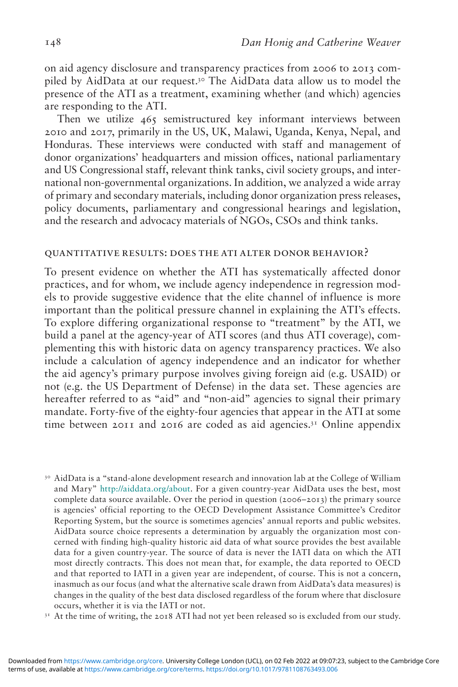on aid agency disclosure and transparency practices from 2006 to 2013 compiled by AidData at our request.30 The AidData data allow us to model the presence of the ATI as a treatment, examining whether (and which) agencies are responding to the ATI.

Then we utilize 465 semistructured key informant interviews between 2010 and 2017, primarily in the US, UK, Malawi, Uganda, Kenya, Nepal, and Honduras. These interviews were conducted with staff and management of donor organizations' headquarters and mission offices, national parliamentary and US Congressional staff, relevant think tanks, civil society groups, and international non-governmental organizations. In addition, we analyzed a wide array of primary and secondary materials, including donor organization press releases, policy documents, parliamentary and congressional hearings and legislation, and the research and advocacy materials of NGOs, CSOs and think tanks.

### quantitative results: does the ati alter donor behavior?

To present evidence on whether the ATI has systematically affected donor practices, and for whom, we include agency independence in regression models to provide suggestive evidence that the elite channel of influence is more important than the political pressure channel in explaining the ATI's effects. To explore differing organizational response to "treatment" by the ATI, we build a panel at the agency-year of ATI scores (and thus ATI coverage), complementing this with historic data on agency transparency practices. We also include a calculation of agency independence and an indicator for whether the aid agency's primary purpose involves giving foreign aid (e.g. USAID) or not (e.g. the US Department of Defense) in the data set. These agencies are hereafter referred to as "aid" and "non-aid" agencies to signal their primary mandate. Forty-five of the eighty-four agencies that appear in the ATI at some time between 2011 and 2016 are coded as aid agencies.<sup>31</sup> Online appendix

<sup>30</sup> AidData is a "stand-alone development research and innovation lab at the College of William and Mary" [http://aiddata.org/about.](http://aiddata.org/about) For a given country-year AidData uses the best, most complete data source available. Over the period in question (2006–2013) the primary source is agencies' official reporting to the OECD Development Assistance Committee's Creditor Reporting System, but the source is sometimes agencies' annual reports and public websites. AidData source choice represents a determination by arguably the organization most concerned with finding high-quality historic aid data of what source provides the best available data for a given country-year. The source of data is never the IATI data on which the ATI most directly contracts. This does not mean that, for example, the data reported to OECD and that reported to IATI in a given year are independent, of course. This is not a concern, inasmuch as our focus (and what the alternative scale drawn from AidData's data measures) is changes in the quality of the best data disclosed regardless of the forum where that disclosure occurs, whether it is via the IATI or not.

<sup>31</sup> At the time of writing, the 2018 ATI had not yet been released so is excluded from our study.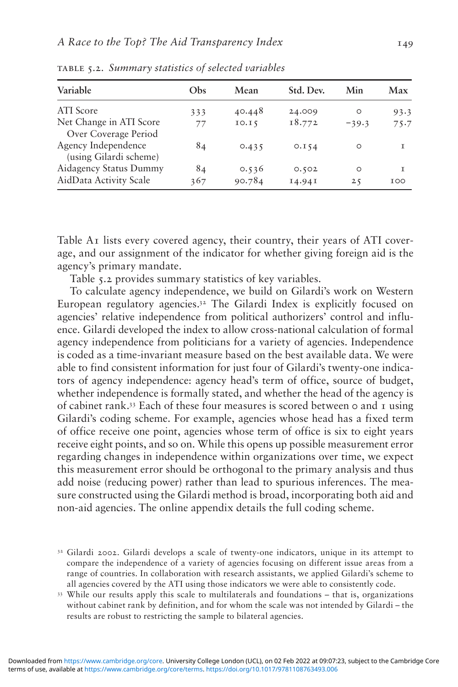| Variable                                        | Obs | Mean   | Std. Dev. | Min     | Max        |
|-------------------------------------------------|-----|--------|-----------|---------|------------|
| ATI Score                                       | 333 | 40.448 | 24.009    | O       | 93.3       |
| Net Change in ATI Score<br>Over Coverage Period | 77  | IO.I5  | 18.772    | $-39.3$ | 75.7       |
| Agency Independence<br>(using Gilardi scheme)   | 84  | 0.435  | 0.154     | O       | T.         |
| Aidagency Status Dummy                          | 84  | 0.536  | 0.502     | $\circ$ | т          |
| AidData Activity Scale                          | 367 | 90.784 | 14.941    | 25      | <b>IOO</b> |
|                                                 |     |        |           |         |            |

table 5.2. *Summary statistics of selected variables*

Table A<sub>I</sub> lists every covered agency, their country, their years of ATI coverage, and our assignment of the indicator for whether giving foreign aid is the agency's primary mandate.

Table 5.2 provides summary statistics of key variables.

To calculate agency independence, we build on Gilardi's work on Western European regulatory agencies.<sup>32</sup> The Gilardi Index is explicitly focused on agencies' relative independence from political authorizers' control and influence. Gilardi developed the index to allow cross-national calculation of formal agency independence from politicians for a variety of agencies. Independence is coded as a time-invariant measure based on the best available data. We were able to find consistent information for just four of Gilardi's twenty-one indicators of agency independence: agency head's term of office, source of budget, whether independence is formally stated, and whether the head of the agency is of cabinet rank.33 Each of these four measures is scored between 0 and 1 using Gilardi's coding scheme. For example, agencies whose head has a fixed term of office receive one point, agencies whose term of office is six to eight years receive eight points, and so on. While this opens up possible measurement error regarding changes in independence within organizations over time, we expect this measurement error should be orthogonal to the primary analysis and thus add noise (reducing power) rather than lead to spurious inferences. The measure constructed using the Gilardi method is broad, incorporating both aid and non-aid agencies. The online appendix details the full coding scheme.

<sup>32</sup> Gilardi 2002. Gilardi develops a scale of twenty-one indicators, unique in its attempt to compare the independence of a variety of agencies focusing on different issue areas from a range of countries. In collaboration with research assistants, we applied Gilardi's scheme to all agencies covered by the ATI using those indicators we were able to consistently code.

<sup>33</sup> While our results apply this scale to multilaterals and foundations – that is, organizations without cabinet rank by definition, and for whom the scale was not intended by Gilardi – the results are robust to restricting the sample to bilateral agencies.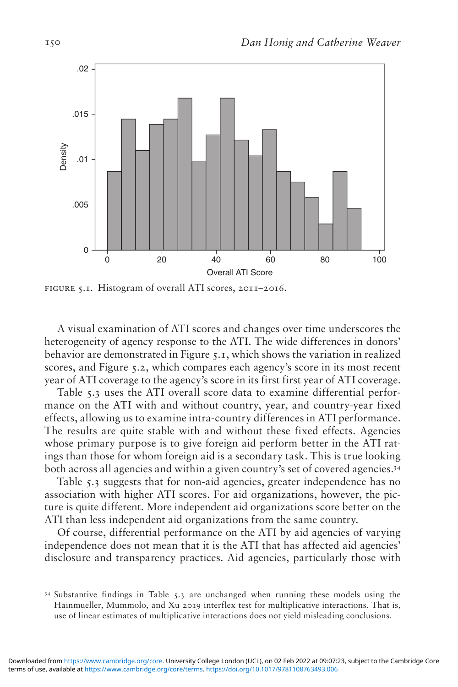

figure 5.1. Histogram of overall ATI scores, 2011–2016.

A visual examination of ATI scores and changes over time underscores the heterogeneity of agency response to the ATI. The wide differences in donors' behavior are demonstrated in Figure 5.1, which shows the variation in realized scores, and Figure 5.2, which compares each agency's score in its most recent year of ATI coverage to the agency's score in its first first year of ATI coverage.

Table 5.3 uses the ATI overall score data to examine differential performance on the ATI with and without country, year, and country-year fixed effects, allowing us to examine intra-country differences in ATI performance. The results are quite stable with and without these fixed effects. Agencies whose primary purpose is to give foreign aid perform better in the ATI ratings than those for whom foreign aid is a secondary task. This is true looking both across all agencies and within a given country's set of covered agencies.34

Table 5.3 suggests that for non-aid agencies, greater independence has no association with higher ATI scores. For aid organizations, however, the picture is quite different. More independent aid organizations score better on the ATI than less independent aid organizations from the same country.

Of course, differential performance on the ATI by aid agencies of varying independence does not mean that it is the ATI that has affected aid agencies' disclosure and transparency practices. Aid agencies, particularly those with

<sup>34</sup> Substantive findings in Table 5.3 are unchanged when running these models using the Hainmueller, Mummolo, and Xu 2019 interflex test for multiplicative interactions. That is, use of linear estimates of multiplicative interactions does not yield misleading conclusions.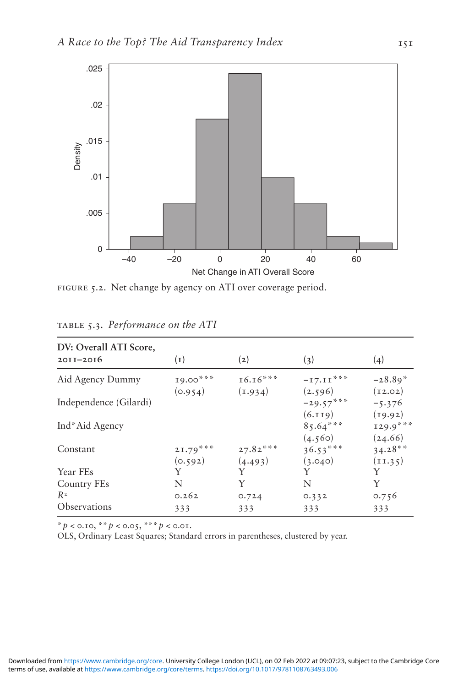

figure 5.2. Net change by agency on ATI over coverage period.

| DV: Overall ATI Score, |                |            |                        |                       |
|------------------------|----------------|------------|------------------------|-----------------------|
| $2011 - 2016$          | $(\textbf{I})$ | (2)        | (3)                    | $\left( 4 \right)$    |
| Aid Agency Dummy       | 19.00***       | $16.16***$ | $-17.11***$            | $-28.89*$             |
| Independence (Gilardi) | (0.954)        | (1.934)    | (2.596)<br>$-29.57***$ | (12.02)<br>$-5.376$   |
| Ind*Aid Agency         |                |            | (6.119)<br>$85.64***$  | (19.92)<br>$129.9***$ |
| Constant               | $21.79***$     | $27.82***$ | (4.560)<br>$36.53***$  | (24.66)<br>$34.28***$ |
|                        | (0.592)        | (4.493)    | (3.040)                | (I <sub>I</sub> , 35) |
| Year FEs               |                | Y          | Y                      |                       |
| Country FEs            | N              | Y          | N                      | Y                     |
| $R^2$                  | 0.262          | 0.724      | 0.332                  | 0.756                 |
| Observations           | 333            | 333        | 333                    | 333                   |

table 5.3. *Performance on the ATI*

\**p <* 0.10, \*\**p <* 0.05, \*\*\**p <* 0.01.

OLS, Ordinary Least Squares; Standard errors in parentheses, clustered by year.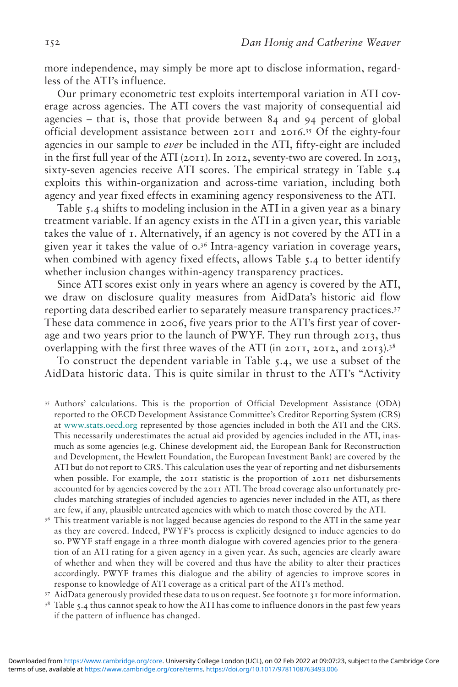more independence, may simply be more apt to disclose information, regardless of the ATI's influence.

Our primary econometric test exploits intertemporal variation in ATI coverage across agencies. The ATI covers the vast majority of consequential aid agencies – that is, those that provide between 84 and 94 percent of global official development assistance between 2011 and 2016.35 Of the eighty-four agencies in our sample to *ever* be included in the ATI, fifty-eight are included in the first full year of the ATI (2011). In 2012, seventy-two are covered. In 2013, sixty-seven agencies receive ATI scores. The empirical strategy in Table 5.4 exploits this within-organization and across-time variation, including both agency and year fixed effects in examining agency responsiveness to the ATI.

Table 5.4 shifts to modeling inclusion in the ATI in a given year as a binary treatment variable. If an agency exists in the ATI in a given year, this variable takes the value of 1. Alternatively, if an agency is not covered by the ATI in a given year it takes the value of 0.36 Intra-agency variation in coverage years, when combined with agency fixed effects, allows Table 5.4 to better identify whether inclusion changes within-agency transparency practices.

Since ATI scores exist only in years where an agency is covered by the ATI, we draw on disclosure quality measures from AidData's historic aid flow reporting data described earlier to separately measure transparency practices.37 These data commence in 2006, five years prior to the ATI's first year of coverage and two years prior to the launch of PWYF. They run through 2013, thus overlapping with the first three waves of the ATI (in 2011, 2012, and 2013).<sup>38</sup>

To construct the dependent variable in Table 5.4, we use a subset of the AidData historic data. This is quite similar in thrust to the ATI's "Activity

- <sup>35</sup> Authors' calculations. This is the proportion of Official Development Assistance (ODA) reported to the OECD Development Assistance Committee's Creditor Reporting System (CRS) at [www.stats.oecd.org](http://www.stats.oecd.org) represented by those agencies included in both the ATI and the CRS. This necessarily underestimates the actual aid provided by agencies included in the ATI, inasmuch as some agencies (e.g. Chinese development aid, the European Bank for Reconstruction and Development, the Hewlett Foundation, the European Investment Bank) are covered by the ATI but do not report to CRS. This calculation uses the year of reporting and net disbursements when possible. For example, the 2011 statistic is the proportion of 2011 net disbursements accounted for by agencies covered by the 2011 ATI. The broad coverage also unfortunately precludes matching strategies of included agencies to agencies never included in the ATI, as there are few, if any, plausible untreated agencies with which to match those covered by the ATI.
- <sup>36</sup> This treatment variable is not lagged because agencies do respond to the ATI in the same year as they are covered. Indeed, PWYF's process is explicitly designed to induce agencies to do so. PWYF staff engage in a three-month dialogue with covered agencies prior to the generation of an ATI rating for a given agency in a given year. As such, agencies are clearly aware of whether and when they will be covered and thus have the ability to alter their practices accordingly. PWYF frames this dialogue and the ability of agencies to improve scores in response to knowledge of ATI coverage as a critical part of the ATI's method.
- <sup>37</sup> AidData generously provided these data to us on request. See footnote 31 for more information.
- <sup>38</sup> Table 5.4 thus cannot speak to how the ATI has come to influence donors in the past few years if the pattern of influence has changed.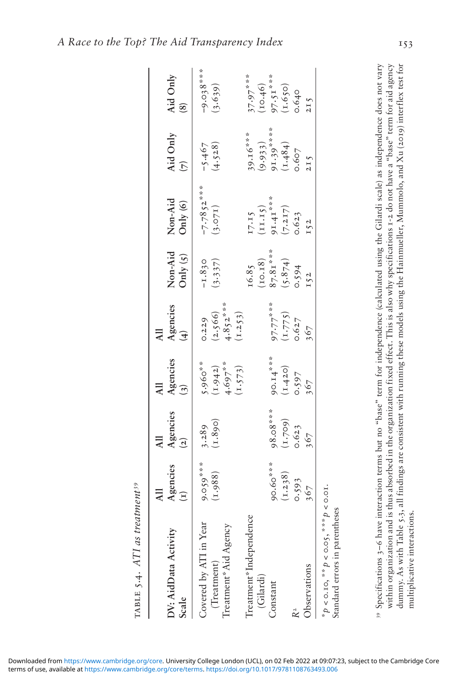| $9.059***$<br>Covered by ATI in Year<br>Scale | $\Omega$                              | Agencies<br>(3)                                  | $\begin{array}{c}\n \text{Agencies} \\  \text{(4)}\n \end{array}$ | $Non-Aid$<br>Only $(s)$                          | $Non-Aid$<br>Only $(6)$                                   | Aid Only<br>$\frac{1}{2}$                  | Aid Only<br>(8)                               |
|-----------------------------------------------|---------------------------------------|--------------------------------------------------|-------------------------------------------------------------------|--------------------------------------------------|-----------------------------------------------------------|--------------------------------------------|-----------------------------------------------|
|                                               |                                       |                                                  |                                                                   |                                                  |                                                           |                                            |                                               |
|                                               | 3.289                                 |                                                  | 0.229                                                             |                                                  |                                                           | $-5.467$<br>(4.528)                        | $-9.038***$<br>(3.639)                        |
| (1.988)<br>(Treatment)                        | (1.890)                               |                                                  |                                                                   | $-1.83$ o<br>(3.337)                             | $-7.7852***$<br>(3.071)                                   |                                            |                                               |
| Treatment*Aid Agency                          |                                       | $5.960**$<br>$(1.942)$<br>$4.697**$<br>$(1.573)$ | $(2.566)$<br>4.852***<br>(1.253)                                  |                                                  |                                                           |                                            |                                               |
|                                               |                                       |                                                  |                                                                   |                                                  |                                                           |                                            |                                               |
| Treatment*Independence                        |                                       |                                                  |                                                                   |                                                  |                                                           | $39.16***$                                 | $37.97***$                                    |
| (Gilardi)                                     |                                       |                                                  |                                                                   |                                                  |                                                           |                                            |                                               |
| 90.60***<br>Constant                          | $98.08***$<br>(1.709)<br>0.623<br>967 | 90.14***<br>(1.420)<br>0.597<br>367              | $97.77$ ***<br>(1.775)<br>0.627<br>967                            | 16.85<br>(10.18)<br>87.81***<br>(5.874)<br>0.594 | $T7.15$<br>$(T1.15)$<br>$91.41**$<br>$(7.217)$<br>$0.623$ | $(9.933)$<br>91.39****<br>(1.484)<br>0.607 | $(10.46)$<br>$97.51$ **<br>$(1.650)$<br>0.640 |
| $(1.238)$<br>0.593                            |                                       |                                                  |                                                                   |                                                  |                                                           |                                            |                                               |
| R <sup>2</sup>                                |                                       |                                                  |                                                                   |                                                  |                                                           |                                            |                                               |
| 367<br>Observations                           |                                       |                                                  |                                                                   | 152                                              | I52                                                       | 2I5                                        | 215                                           |

39 Specifications 3–6 have interaction terms but no "base" term for independence (calculated using the Gilardi scale) as independence does not vary within organization and is thus absorbed in the organization fixed effect. This is also why specifications 1-2 do not have a "base" term for aid agency dummy. As with Table 5.3, all findings are consistent with running these models using the Hainmueller, Mummolo, and Xu (2019) interflex test for Specifications 3-6 have interaction terms but no "base" term for independence (calculated using the Gilardi scale) as independence does not vary within organization and is thus absorbed in the organization fixed effect. This is also why specifications 1-2 do not have a "base" term for aid agency dummy. As with Table 5:3, all findings are consistent with running these models using the Hainmueller, Mummolo, and Xu (2019) interflex test for multiplicative interactions. multiplicative interactions.

 $39$ 

terms of use, available at <https://www.cambridge.org/core/terms>.<https://doi.org/10.1017/9781108763493.006> Downloaded from<https://www.cambridge.org/core>. University College London (UCL), on 02 Feb 2022 at 09:07:23, subject to the Cambridge Core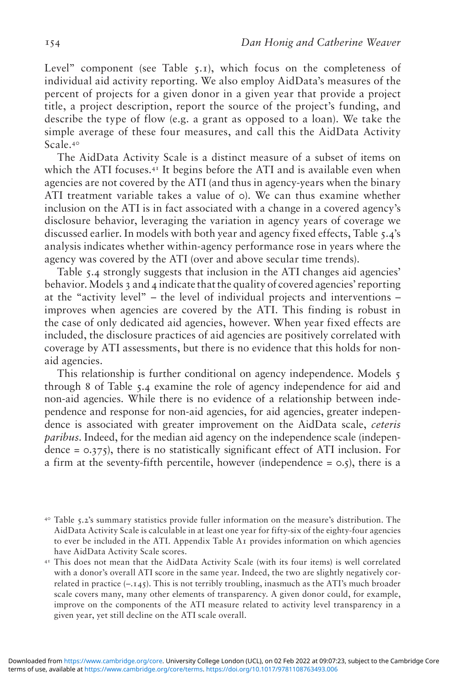Level" component (see Table 5.1), which focus on the completeness of individual aid activity reporting. We also employ AidData's measures of the percent of projects for a given donor in a given year that provide a project title, a project description, report the source of the project's funding, and describe the type of flow (e.g. a grant as opposed to a loan). We take the simple average of these four measures, and call this the AidData Activity Scale.40

The AidData Activity Scale is a distinct measure of a subset of items on which the ATI focuses.<sup>41</sup> It begins before the ATI and is available even when agencies are not covered by the ATI (and thus in agency-years when the binary ATI treatment variable takes a value of  $\circ$ ). We can thus examine whether inclusion on the ATI is in fact associated with a change in a covered agency's disclosure behavior, leveraging the variation in agency years of coverage we discussed earlier. In models with both year and agency fixed effects, Table 5.4's analysis indicates whether within-agency performance rose in years where the agency was covered by the ATI (over and above secular time trends).

Table 5.4 strongly suggests that inclusion in the ATI changes aid agencies' behavior. Models 3 and 4 indicate that the quality of covered agencies' reporting at the "activity level" – the level of individual projects and interventions – improves when agencies are covered by the ATI. This finding is robust in the case of only dedicated aid agencies, however. When year fixed effects are included, the disclosure practices of aid agencies are positively correlated with coverage by ATI assessments, but there is no evidence that this holds for nonaid agencies.

This relationship is further conditional on agency independence. Models 5 through 8 of Table 5.4 examine the role of agency independence for aid and non-aid agencies. While there is no evidence of a relationship between independence and response for non-aid agencies, for aid agencies, greater independence is associated with greater improvement on the AidData scale, *ceteris paribus*. Indeed, for the median aid agency on the independence scale (independence = 0.375), there is no statistically significant effect of ATI inclusion. For a firm at the seventy-fifth percentile, however (independence = 0.5), there is a

<sup>40</sup> Table 5.2's summary statistics provide fuller information on the measure's distribution. The AidData Activity Scale is calculable in at least one year for fifty-six of the eighty-four agencies to ever be included in the ATI. Appendix Table A1 provides information on which agencies have AidData Activity Scale scores.

<sup>41</sup> This does not mean that the AidData Activity Scale (with its four items) is well correlated with a donor's overall ATI score in the same year. Indeed, the two are slightly negatively correlated in practice  $(-.145)$ . This is not terribly troubling, inasmuch as the ATI's much broader scale covers many, many other elements of transparency. A given donor could, for example, improve on the components of the ATI measure related to activity level transparency in a given year, yet still decline on the ATI scale overall.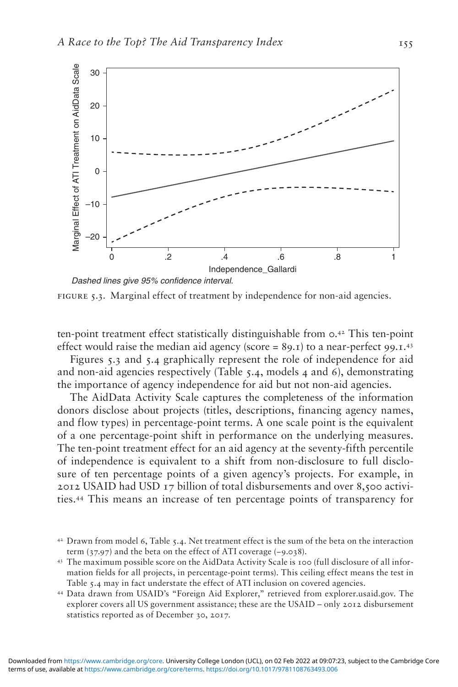

FIGURE 5.3. Marginal effect of treatment by independence for non-aid agencies.

ten-point treatment effect statistically distinguishable from 0.42 This ten-point effect would raise the median aid agency (score =  $89.1$ ) to a near-perfect  $99.1.^{43}$ 

Figures 5.3 and 5.4 graphically represent the role of independence for aid and non-aid agencies respectively (Table 5.4, models 4 and 6), demonstrating the importance of agency independence for aid but not non-aid agencies.

The AidData Activity Scale captures the completeness of the information donors disclose about projects (titles, descriptions, financing agency names, and flow types) in percentage-point terms. A one scale point is the equivalent of a one percentage-point shift in performance on the underlying measures. The ten-point treatment effect for an aid agency at the seventy-fifth percentile of independence is equivalent to a shift from non-disclosure to full disclosure of ten percentage points of a given agency's projects. For example, in 2012 USAID had USD 17 billion of total disbursements and over 8,500 activities.44 This means an increase of ten percentage points of transparency for

<sup>42</sup> Drawn from model 6, Table 5.4. Net treatment effect is the sum of the beta on the interaction term (37.97) and the beta on the effect of ATI coverage (−9.038).

<sup>43</sup> The maximum possible score on the AidData Activity Scale is 100 (full disclosure of all information fields for all projects, in percentage-point terms). This ceiling effect means the test in Table 5.4 may in fact understate the effect of ATI inclusion on covered agencies.

<sup>44</sup> Data drawn from USAID's "Foreign Aid Explorer," retrieved from explorer.usaid.gov. The explorer covers all US government assistance; these are the USAID – only 2012 disbursement statistics reported as of December 30, 2017.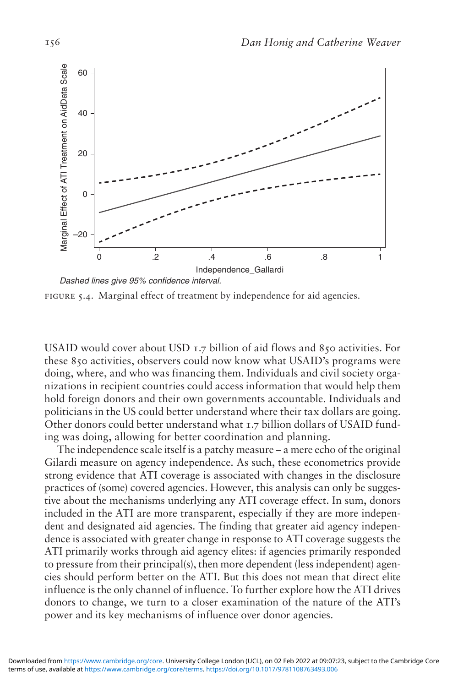

FIGURE 5.4. Marginal effect of treatment by independence for aid agencies.

USAID would cover about USD 1.7 billion of aid flows and 850 activities. For these 850 activities, observers could now know what USAID's programs were doing, where, and who was financing them. Individuals and civil society organizations in recipient countries could access information that would help them hold foreign donors and their own governments accountable. Individuals and politicians in the US could better understand where their tax dollars are going. Other donors could better understand what 1.7 billion dollars of USAID funding was doing, allowing for better coordination and planning.

The independence scale itself is a patchy measure – a mere echo of the original Gilardi measure on agency independence. As such, these econometrics provide strong evidence that ATI coverage is associated with changes in the disclosure practices of (some) covered agencies. However, this analysis can only be suggestive about the mechanisms underlying any ATI coverage effect. In sum, donors included in the ATI are more transparent, especially if they are more independent and designated aid agencies. The finding that greater aid agency independence is associated with greater change in response to ATI coverage suggests the ATI primarily works through aid agency elites: if agencies primarily responded to pressure from their principal(s), then more dependent (less independent) agencies should perform better on the ATI. But this does not mean that direct elite influence is the only channel of influence. To further explore how the ATI drives donors to change, we turn to a closer examination of the nature of the ATI's power and its key mechanisms of influence over donor agencies.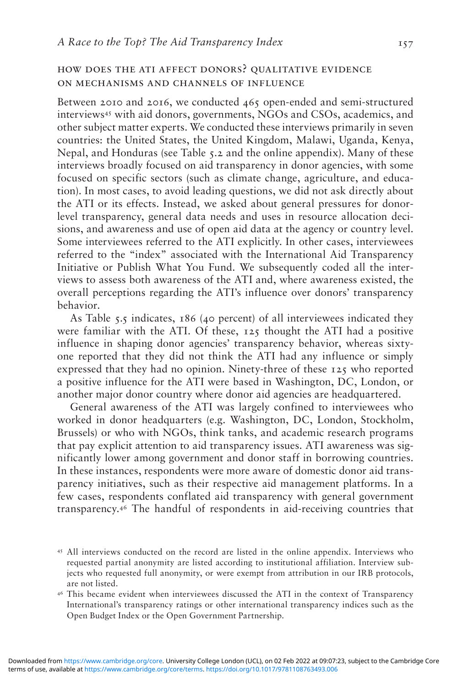# how does the ati affect donors? qualitative evidence on mechanisms and channels of influence

Between 2010 and 2016, we conducted 465 open-ended and semi-structured interviews45 with aid donors, governments, NGOs and CSOs, academics, and other subject matter experts. We conducted these interviews primarily in seven countries: the United States, the United Kingdom, Malawi, Uganda, Kenya, Nepal, and Honduras (see Table 5.2 and the online appendix). Many of these interviews broadly focused on aid transparency in donor agencies, with some focused on specific sectors (such as climate change, agriculture, and education). In most cases, to avoid leading questions, we did not ask directly about the ATI or its effects. Instead, we asked about general pressures for donorlevel transparency, general data needs and uses in resource allocation decisions, and awareness and use of open aid data at the agency or country level. Some interviewees referred to the ATI explicitly. In other cases, interviewees referred to the "index" associated with the International Aid Transparency Initiative or Publish What You Fund. We subsequently coded all the interviews to assess both awareness of the ATI and, where awareness existed, the overall perceptions regarding the ATI's influence over donors' transparency behavior.

As Table 5.5 indicates, 186 (40 percent) of all interviewees indicated they were familiar with the ATI. Of these, 125 thought the ATI had a positive influence in shaping donor agencies' transparency behavior, whereas sixtyone reported that they did not think the ATI had any influence or simply expressed that they had no opinion. Ninety-three of these 125 who reported a positive influence for the ATI were based in Washington, DC, London, or another major donor country where donor aid agencies are headquartered.

General awareness of the ATI was largely confined to interviewees who worked in donor headquarters (e.g. Washington, DC, London, Stockholm, Brussels) or who with NGOs, think tanks, and academic research programs that pay explicit attention to aid transparency issues. ATI awareness was significantly lower among government and donor staff in borrowing countries. In these instances, respondents were more aware of domestic donor aid transparency initiatives, such as their respective aid management platforms. In a few cases, respondents conflated aid transparency with general government transparency.46 The handful of respondents in aid-receiving countries that

<sup>45</sup> All interviews conducted on the record are listed in the online appendix. Interviews who requested partial anonymity are listed according to institutional affiliation. Interview subjects who requested full anonymity, or were exempt from attribution in our IRB protocols, are not listed.

<sup>46</sup> This became evident when interviewees discussed the ATI in the context of Transparency International's transparency ratings or other international transparency indices such as the Open Budget Index or the Open Government Partnership.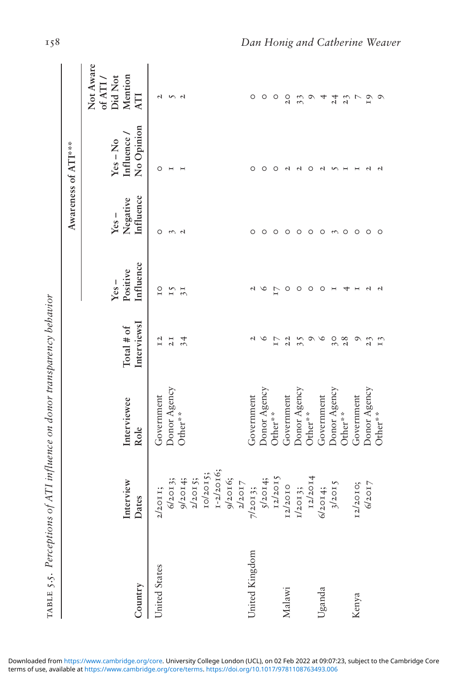|                |                    | TABLE 5.5. Perceptions of ATI influence on donor transparency behavior |                             |                                  |                                  |                                         |                                                    |
|----------------|--------------------|------------------------------------------------------------------------|-----------------------------|----------------------------------|----------------------------------|-----------------------------------------|----------------------------------------------------|
|                |                    |                                                                        |                             |                                  |                                  | Awareness of ATI***                     |                                                    |
| Country        | Interview<br>Dates | Interviewee<br>Role                                                    | InterviewsI<br>Total $#$ of | Influence<br>Positive<br>$Yes -$ | Influence<br>Negative<br>$Yes -$ | No Opinion<br>Influence /<br>$Yes - No$ | Not Aware<br>Mention<br>Did Not<br>of $ATI$<br>ATI |
| United States  | 2/20II             | Government                                                             | I <sub>2</sub>              | $\overline{1}$                   | $\circ$                          | $\circ$                                 | 4                                                  |
|                | 6/2013;            | Donor Agency                                                           | 21                          | Ι5                               |                                  | Ξ                                       |                                                    |
|                | 9/2014;            | Other**                                                                | 34                          | $\frac{1}{2}$                    | $\omega$ $q$                     | $\mathbf{I}$                            | 5<br>2                                             |
|                | $2/20I$ 5;         |                                                                        |                             |                                  |                                  |                                         |                                                    |
|                | $IO/2OI$ 5;        |                                                                        |                             |                                  |                                  |                                         |                                                    |
|                | $I - 2/2$ OI6;     |                                                                        |                             |                                  |                                  |                                         |                                                    |
|                | 9/2016;            |                                                                        |                             |                                  |                                  |                                         |                                                    |
|                | 2/20I7             |                                                                        |                             |                                  |                                  |                                         |                                                    |
| United Kingdom | 7/2013;            | Government                                                             | $\mathcal{L}$               | N                                | O                                | O                                       | $\circ$                                            |
|                | 5/2014             | Donor Agency                                                           | $\circ$                     | $\circ$                          | O                                | O                                       | $\circ$                                            |
|                | I2/2OI             | Other**                                                                | L1                          | Ι7                               | O                                | O                                       | O                                                  |
| Malawi         | I2/20I0            | Government                                                             | 22                          | O                                | O                                | N                                       | 20                                                 |
|                | 1/2013             | Donor Agency                                                           | $\mathfrak{Z}$              | O                                | O                                | N                                       | 33                                                 |
|                | I2/2014            | Other**                                                                | $\circ$                     | O                                | O                                | O                                       | $\circ$                                            |
| Uganda         | 6/2014;            | Government                                                             | $\circ$                     | O                                | O                                | ч                                       | 4                                                  |
|                | 3/2015             | Donor Agency                                                           | 30                          |                                  | 3                                | ∽                                       | $\overline{24}$                                    |
|                |                    | Other**                                                                | 28                          | 4                                | $\circ$                          |                                         | 23                                                 |
| Kenya          | I2/20IO;           | Government                                                             | $\circ$                     |                                  | O                                |                                         | $\overline{C}$                                     |
|                | 6/2017             | Donor Agency                                                           | 23                          |                                  | O                                |                                         | L9                                                 |
|                |                    | Other**                                                                |                             |                                  | O                                |                                         | $\circ$                                            |

Downloaded from https://www.cambridge.org/core. University College London (UCL), on 02 Feb 2022 at 09:07:23, subject to the Cambridge Core<br>terms of use, available at <https://www.cambridge.org/core/terms>. https://doi.org/10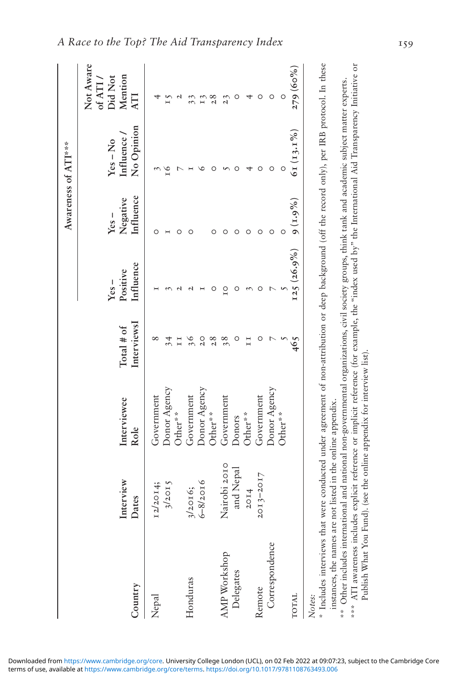|                                                                                                                                                                                                                                                                                                              |                    |                            |                             |                                  | Awareness of ATI***              |                                         |                                                           |
|--------------------------------------------------------------------------------------------------------------------------------------------------------------------------------------------------------------------------------------------------------------------------------------------------------------|--------------------|----------------------------|-----------------------------|----------------------------------|----------------------------------|-----------------------------------------|-----------------------------------------------------------|
| Country                                                                                                                                                                                                                                                                                                      | Interview<br>Dates | Interviewee<br>Role        | InterviewsI<br>Total $# of$ | Influence<br>Positive<br>$Yes -$ | Influence<br>Negative<br>$Yes -$ | No Opinion<br>Influence /<br>$Yes - No$ | Not Aware<br>Mention<br>Did Not<br>of ATI /<br><b>ATI</b> |
| Nepal                                                                                                                                                                                                                                                                                                        | 3/2015<br>I2/2OI4; | Donor Agency<br>Government | ∞<br>34                     |                                  | O                                | $\overline{1}$                          | ΣS                                                        |
| Honduras                                                                                                                                                                                                                                                                                                     | $3/2016$ ;         | Government<br>Other**      | 36<br>ΙI                    |                                  | O<br>O                           |                                         |                                                           |
|                                                                                                                                                                                                                                                                                                              | $6 - 8/2016$       | Donor Agency               | 20                          |                                  |                                  |                                         |                                                           |
| <b>AMP</b> Workshop                                                                                                                                                                                                                                                                                          | Nairobi 2010       | Government<br>Other**      | 28<br>38                    | $\overline{1}$<br>О              | С                                |                                         | 28<br>23                                                  |
| Delegates                                                                                                                                                                                                                                                                                                    | and Nepal          | Donors                     | O                           | O                                | O                                |                                         | O                                                         |
|                                                                                                                                                                                                                                                                                                              | 20I4               | Other**                    |                             |                                  | O                                |                                         |                                                           |
| Remote                                                                                                                                                                                                                                                                                                       | $2013 - 2017$      | Government                 | O                           | O                                | O                                | O                                       | O                                                         |
| Correspondence                                                                                                                                                                                                                                                                                               |                    | Donor Agency               |                             |                                  | O                                | O                                       | O                                                         |
|                                                                                                                                                                                                                                                                                                              |                    | Other**                    |                             |                                  | O                                |                                         |                                                           |
| <b>TOTAL</b>                                                                                                                                                                                                                                                                                                 |                    |                            | 465                         | 125 (26.9%)                      | $9(1.9\%)$                       | 61 (13.1%)                              | 279 (60%)                                                 |
| * Includes interviews that were conducted under agreement of non-attribution or deep background (off the record only), per IRB protocol. In these<br>Notes:                                                                                                                                                  |                    |                            |                             |                                  |                                  |                                         |                                                           |
| instances, the names are not listed in the online appendix.                                                                                                                                                                                                                                                  |                    |                            |                             |                                  |                                  |                                         |                                                           |
| *** ATI awareness includes explicit reference or implicit reference (for example, the "index used by" the International Aid Transparency Initiative or<br>** Other includes international and national non-governmental organizations, civil society groups, think tank and academic subject matter experts. |                    |                            |                             |                                  |                                  |                                         |                                                           |

\*\*\* ATI awareness includes explicit reference or implicit reference (for example, the "index used by" the International Aid Transparency Initiative or

Publish What You Fund). (see the online appendix for interview list).

Publish What You Fund). (see the online appendix for interview list).

terms of use, available at <https://www.cambridge.org/core/terms>.<https://doi.org/10.1017/9781108763493.006> Downloaded from<https://www.cambridge.org/core>. University College London (UCL), on 02 Feb 2022 at 09:07:23, subject to the Cambridge Core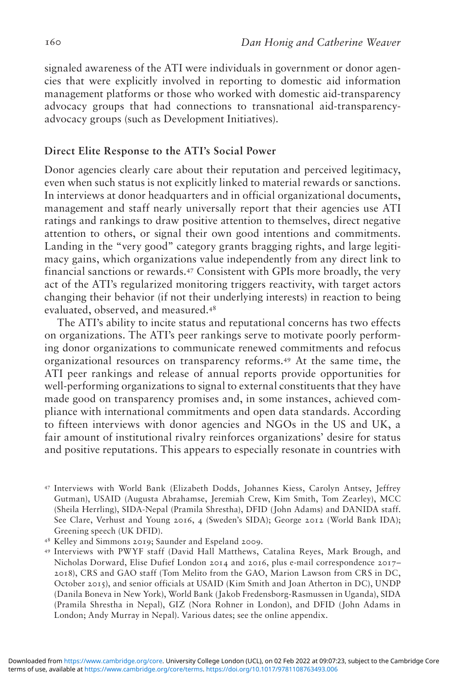signaled awareness of the ATI were individuals in government or donor agencies that were explicitly involved in reporting to domestic aid information management platforms or those who worked with domestic aid-transparency advocacy groups that had connections to transnational aid-transparencyadvocacy groups (such as Development Initiatives).

### **Direct Elite Response to the ATI's Social Power**

Donor agencies clearly care about their reputation and perceived legitimacy, even when such status is not explicitly linked to material rewards or sanctions. In interviews at donor headquarters and in official organizational documents, management and staff nearly universally report that their agencies use ATI ratings and rankings to draw positive attention to themselves, direct negative attention to others, or signal their own good intentions and commitments. Landing in the "very good" category grants bragging rights, and large legitimacy gains, which organizations value independently from any direct link to financial sanctions or rewards.47 Consistent with GPIs more broadly, the very act of the ATI's regularized monitoring triggers reactivity, with target actors changing their behavior (if not their underlying interests) in reaction to being evaluated, observed, and measured.48

The ATI's ability to incite status and reputational concerns has two effects on organizations. The ATI's peer rankings serve to motivate poorly performing donor organizations to communicate renewed commitments and refocus organizational resources on transparency reforms.49 At the same time, the ATI peer rankings and release of annual reports provide opportunities for well-performing organizations to signal to external constituents that they have made good on transparency promises and, in some instances, achieved compliance with international commitments and open data standards. According to fifteen interviews with donor agencies and NGOs in the US and UK, a fair amount of institutional rivalry reinforces organizations' desire for status and positive reputations. This appears to especially resonate in countries with

<sup>47</sup> Interviews with World Bank (Elizabeth Dodds, Johannes Kiess, Carolyn Antsey, Jeffrey Gutman), USAID (Augusta Abrahamse, Jeremiah Crew, Kim Smith, Tom Zearley), MCC (Sheila Herrling), SIDA-Nepal (Pramila Shrestha), DFID (John Adams) and DANIDA staff. See Clare, Verhust and Young 2016, 4 (Sweden's SIDA); George 2012 (World Bank IDA); Greening speech (UK DFID).

<sup>48</sup> Kelley and Simmons 2019; Saunder and Espeland 2009.

<sup>49</sup> Interviews with PWYF staff (David Hall Matthews, Catalina Reyes, Mark Brough, and Nicholas Dorward, Elise Dufief London 2014 and 2016, plus e-mail correspondence 2017– 2018), CRS and GAO staff (Tom Melito from the GAO, Marion Lawson from CRS in DC, October 2015), and senior officials at USAID (Kim Smith and Joan Atherton in DC), UNDP (Danila Boneva in New York), World Bank (Jakob Fredensborg-Rasmussen in Uganda), SIDA (Pramila Shrestha in Nepal), GIZ (Nora Rohner in London), and DFID (John Adams in London; Andy Murray in Nepal). Various dates; see the online appendix.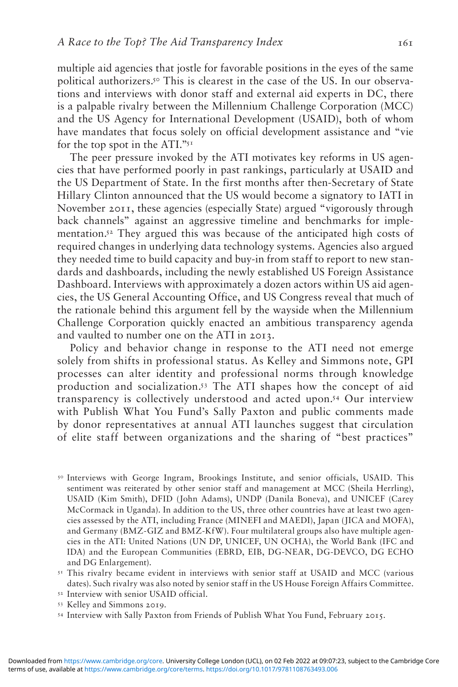multiple aid agencies that jostle for favorable positions in the eyes of the same political authorizers.<sup>50</sup> This is clearest in the case of the US. In our observations and interviews with donor staff and external aid experts in DC, there is a palpable rivalry between the Millennium Challenge Corporation (MCC) and the US Agency for International Development (USAID), both of whom have mandates that focus solely on official development assistance and "vie for the top spot in the ATI."51

The peer pressure invoked by the ATI motivates key reforms in US agencies that have performed poorly in past rankings, particularly at USAID and the US Department of State. In the first months after then-Secretary of State Hillary Clinton announced that the US would become a signatory to IATI in November 2011, these agencies (especially State) argued "vigorously through back channels" against an aggressive timeline and benchmarks for implementation.52 They argued this was because of the anticipated high costs of required changes in underlying data technology systems. Agencies also argued they needed time to build capacity and buy-in from staff to report to new standards and dashboards, including the newly established US Foreign Assistance Dashboard. Interviews with approximately a dozen actors within US aid agencies, the US General Accounting Office, and US Congress reveal that much of the rationale behind this argument fell by the wayside when the Millennium Challenge Corporation quickly enacted an ambitious transparency agenda and vaulted to number one on the ATI in 2013.

Policy and behavior change in response to the ATI need not emerge solely from shifts in professional status. As Kelley and Simmons note, GPI processes can alter identity and professional norms through knowledge production and socialization.53 The ATI shapes how the concept of aid transparency is collectively understood and acted upon.54 Our interview with Publish What You Fund's Sally Paxton and public comments made by donor representatives at annual ATI launches suggest that circulation of elite staff between organizations and the sharing of "best practices"

<sup>53</sup> Kelley and Simmons 2019.

<sup>50</sup> Interviews with George Ingram, Brookings Institute, and senior officials, USAID. This sentiment was reiterated by other senior staff and management at MCC (Sheila Herrling), USAID (Kim Smith), DFID (John Adams), UNDP (Danila Boneva), and UNICEF (Carey McCormack in Uganda). In addition to the US, three other countries have at least two agencies assessed by the ATI, including France (MINEFI and MAEDI), Japan (JICA and MOFA), and Germany (BMZ-GIZ and BMZ-KfW). Four multilateral groups also have multiple agencies in the ATI: United Nations (UN DP, UNICEF, UN OCHA), the World Bank (IFC and IDA) and the European Communities (EBRD, EIB, DG-NEAR, DG-DEVCO, DG ECHO and DG Enlargement).

<sup>&</sup>lt;sup>51</sup> This rivalry became evident in interviews with senior staff at USAID and MCC (various dates). Such rivalry was also noted by senior staff in the US House Foreign Affairs Committee.

<sup>52</sup> Interview with senior USAID official.

<sup>54</sup> Interview with Sally Paxton from Friends of Publish What You Fund, February 2015.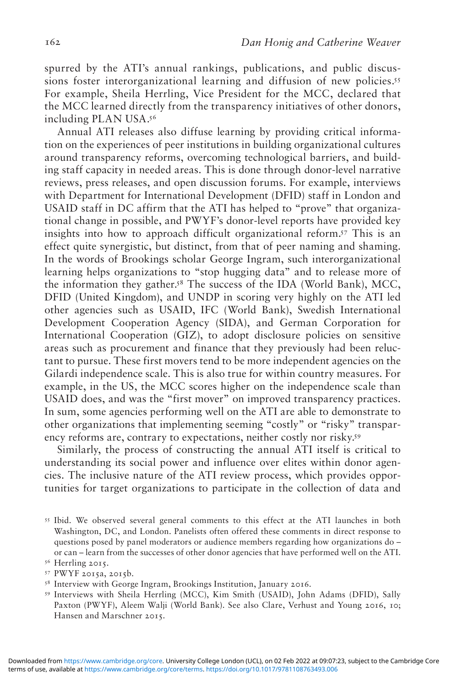spurred by the ATI's annual rankings, publications, and public discussions foster interorganizational learning and diffusion of new policies.<sup>55</sup> For example, Sheila Herrling, Vice President for the MCC, declared that the MCC learned directly from the transparency initiatives of other donors, including PLAN USA.56

Annual ATI releases also diffuse learning by providing critical information on the experiences of peer institutions in building organizational cultures around transparency reforms, overcoming technological barriers, and building staff capacity in needed areas. This is done through donor-level narrative reviews, press releases, and open discussion forums. For example, interviews with Department for International Development (DFID) staff in London and USAID staff in DC affirm that the ATI has helped to "prove" that organizational change in possible, and PWYF's donor-level reports have provided key insights into how to approach difficult organizational reform.57 This is an effect quite synergistic, but distinct, from that of peer naming and shaming. In the words of Brookings scholar George Ingram, such interorganizational learning helps organizations to "stop hugging data" and to release more of the information they gather.58 The success of the IDA (World Bank), MCC, DFID (United Kingdom), and UNDP in scoring very highly on the ATI led other agencies such as USAID, IFC (World Bank), Swedish International Development Cooperation Agency (SIDA), and German Corporation for International Cooperation (GIZ), to adopt disclosure policies on sensitive areas such as procurement and finance that they previously had been reluctant to pursue. These first movers tend to be more independent agencies on the Gilardi independence scale. This is also true for within country measures. For example, in the US, the MCC scores higher on the independence scale than USAID does, and was the "first mover" on improved transparency practices. In sum, some agencies performing well on the ATI are able to demonstrate to other organizations that implementing seeming "costly" or "risky" transparency reforms are, contrary to expectations, neither costly nor risky.59

Similarly, the process of constructing the annual ATI itself is critical to understanding its social power and influence over elites within donor agencies. The inclusive nature of the ATI review process, which provides opportunities for target organizations to participate in the collection of data and

- <sup>58</sup> Interview with George Ingram, Brookings Institution, January 2016.
- <sup>59</sup> Interviews with Sheila Herrling (MCC), Kim Smith (USAID), John Adams (DFID), Sally Paxton (PWYF), Aleem Walji (World Bank). See also Clare, Verhust and Young 2016, 10; Hansen and Marschner 2015.

<sup>55</sup> Ibid. We observed several general comments to this effect at the ATI launches in both Washington, DC, and London. Panelists often offered these comments in direct response to questions posed by panel moderators or audience members regarding how organizations do – or can – learn from the successes of other donor agencies that have performed well on the ATI.

<sup>56</sup> Herrling 2015.

<sup>57</sup> PWYF 2015a, 2015b.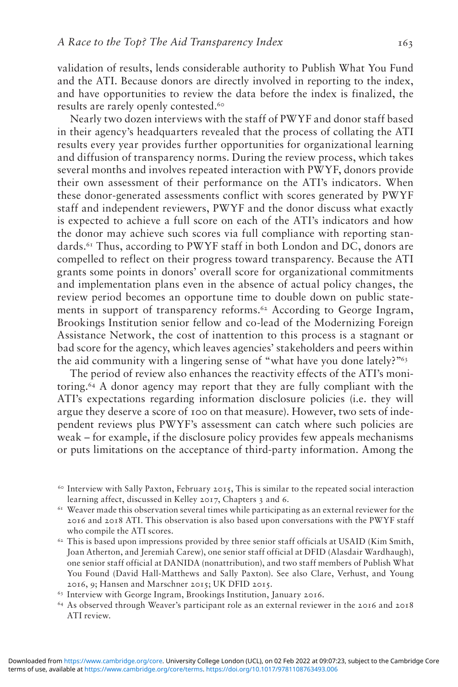validation of results, lends considerable authority to Publish What You Fund and the ATI. Because donors are directly involved in reporting to the index, and have opportunities to review the data before the index is finalized, the results are rarely openly contested.<sup>60</sup>

Nearly two dozen interviews with the staff of PWYF and donor staff based in their agency's headquarters revealed that the process of collating the ATI results every year provides further opportunities for organizational learning and diffusion of transparency norms. During the review process, which takes several months and involves repeated interaction with PWYF, donors provide their own assessment of their performance on the ATI's indicators. When these donor-generated assessments conflict with scores generated by PWYF staff and independent reviewers, PWYF and the donor discuss what exactly is expected to achieve a full score on each of the ATI's indicators and how the donor may achieve such scores via full compliance with reporting standards.<sup>61</sup> Thus, according to PWYF staff in both London and DC, donors are compelled to reflect on their progress toward transparency. Because the ATI grants some points in donors' overall score for organizational commitments and implementation plans even in the absence of actual policy changes, the review period becomes an opportune time to double down on public statements in support of transparency reforms.<sup>62</sup> According to George Ingram, Brookings Institution senior fellow and co-lead of the Modernizing Foreign Assistance Network, the cost of inattention to this process is a stagnant or bad score for the agency, which leaves agencies' stakeholders and peers within the aid community with a lingering sense of "what have you done lately?"63

The period of review also enhances the reactivity effects of the ATI's monitoring.64 A donor agency may report that they are fully compliant with the ATI's expectations regarding information disclosure policies (i.e. they will argue they deserve a score of 100 on that measure). However, two sets of independent reviews plus PWYF's assessment can catch where such policies are weak – for example, if the disclosure policy provides few appeals mechanisms or puts limitations on the acceptance of third-party information. Among the

- <sup>63</sup> Interview with George Ingram, Brookings Institution, January 2016.
- <sup>64</sup> As observed through Weaver's participant role as an external reviewer in the 2016 and 2018 ATI review.

 $60$  Interview with Sally Paxton, February 2015, This is similar to the repeated social interaction learning affect, discussed in Kelley 2017, Chapters 3 and 6.

 $61$  Weaver made this observation several times while participating as an external reviewer for the 2016 and 2018 ATI. This observation is also based upon conversations with the PWYF staff who compile the ATI scores.

 $62$  This is based upon impressions provided by three senior staff officials at USAID (Kim Smith, Joan Atherton, and Jeremiah Carew), one senior staff official at DFID (Alasdair Wardhaugh), one senior staff official at DANIDA (nonattribution), and two staff members of Publish What You Found (David Hall-Matthews and Sally Paxton). See also Clare, Verhust, and Young 2016, 9; Hansen and Marschner 2015; UK DFID 2015.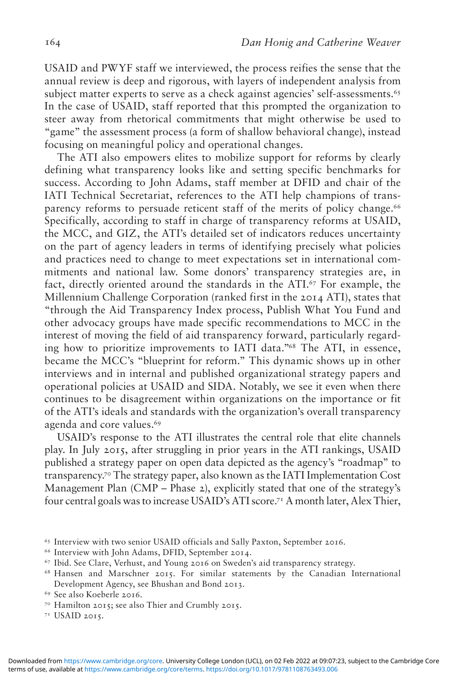USAID and PWYF staff we interviewed, the process reifies the sense that the annual review is deep and rigorous, with layers of independent analysis from subject matter experts to serve as a check against agencies' self-assessments.<sup>65</sup> In the case of USAID, staff reported that this prompted the organization to steer away from rhetorical commitments that might otherwise be used to "game" the assessment process (a form of shallow behavioral change), instead focusing on meaningful policy and operational changes.

The ATI also empowers elites to mobilize support for reforms by clearly defining what transparency looks like and setting specific benchmarks for success. According to John Adams, staff member at DFID and chair of the IATI Technical Secretariat, references to the ATI help champions of transparency reforms to persuade reticent staff of the merits of policy change.<sup>66</sup> Specifically, according to staff in charge of transparency reforms at USAID, the MCC, and GIZ, the ATI's detailed set of indicators reduces uncertainty on the part of agency leaders in terms of identifying precisely what policies and practices need to change to meet expectations set in international commitments and national law. Some donors' transparency strategies are, in fact, directly oriented around the standards in the ATI.<sup>67</sup> For example, the Millennium Challenge Corporation (ranked first in the 2014 ATI), states that "through the Aid Transparency Index process, Publish What You Fund and other advocacy groups have made specific recommendations to MCC in the interest of moving the field of aid transparency forward, particularly regarding how to prioritize improvements to IATI data."68 The ATI, in essence, became the MCC's "blueprint for reform." This dynamic shows up in other interviews and in internal and published organizational strategy papers and operational policies at USAID and SIDA. Notably, we see it even when there continues to be disagreement within organizations on the importance or fit of the ATI's ideals and standards with the organization's overall transparency agenda and core values.<sup>69</sup>

USAID's response to the ATI illustrates the central role that elite channels play. In July 2015, after struggling in prior years in the ATI rankings, USAID published a strategy paper on open data depicted as the agency's "roadmap" to transparency.70 The strategy paper, also known as the IATI Implementation Cost Management Plan (CMP – Phase 2), explicitly stated that one of the strategy's four central goals was to increase USAID's ATI score.71 A month later, Alex Thier,

<sup>65</sup> Interview with two senior USAID officials and Sally Paxton, September 2016.

<sup>66</sup> Interview with John Adams, DFID, September 2014.

<sup>67</sup> Ibid. See Clare, Verhust, and Young 2016 on Sweden's aid transparency strategy.

<sup>68</sup> Hansen and Marschner 2015. For similar statements by the Canadian International Development Agency, see Bhushan and Bond 2013.

<sup>70</sup> Hamilton 2015; see also Thier and Crumbly 2015.

<sup>71</sup> USAID 2015.

<sup>69</sup> See also Koeberle 2016.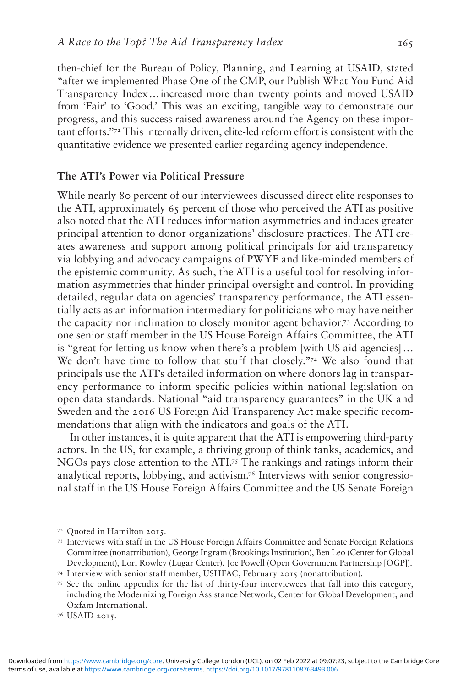then-chief for the Bureau of Policy, Planning, and Learning at USAID, stated "after we implemented Phase One of the CMP, our Publish What You Fund Aid Transparency Index…increased more than twenty points and moved USAID from 'Fair' to 'Good.' This was an exciting, tangible way to demonstrate our progress, and this success raised awareness around the Agency on these important efforts."72 This internally driven, elite-led reform effort is consistent with the quantitative evidence we presented earlier regarding agency independence.

### **The ATI's Power via Political Pressure**

While nearly 80 percent of our interviewees discussed direct elite responses to the ATI, approximately 65 percent of those who perceived the ATI as positive also noted that the ATI reduces information asymmetries and induces greater principal attention to donor organizations' disclosure practices. The ATI creates awareness and support among political principals for aid transparency via lobbying and advocacy campaigns of PWYF and like-minded members of the epistemic community. As such, the ATI is a useful tool for resolving information asymmetries that hinder principal oversight and control. In providing detailed, regular data on agencies' transparency performance, the ATI essentially acts as an information intermediary for politicians who may have neither the capacity nor inclination to closely monitor agent behavior.73 According to one senior staff member in the US House Foreign Affairs Committee, the ATI is "great for letting us know when there's a problem [with US aid agencies]… We don't have time to follow that stuff that closely."74 We also found that principals use the ATI's detailed information on where donors lag in transparency performance to inform specific policies within national legislation on open data standards. National "aid transparency guarantees" in the UK and Sweden and the 2016 US Foreign Aid Transparency Act make specific recommendations that align with the indicators and goals of the ATI.

In other instances, it is quite apparent that the ATI is empowering third-party actors. In the US, for example, a thriving group of think tanks, academics, and NGOs pays close attention to the ATI.75 The rankings and ratings inform their analytical reports, lobbying, and activism.76 Interviews with senior congressional staff in the US House Foreign Affairs Committee and the US Senate Foreign

<sup>75</sup> See the online appendix for the list of thirty-four interviewees that fall into this category, including the Modernizing Foreign Assistance Network, Center for Global Development, and Oxfam International.

<sup>72</sup> Quoted in Hamilton 2015.

<sup>73</sup> Interviews with staff in the US House Foreign Affairs Committee and Senate Foreign Relations Committee (nonattribution), George Ingram (Brookings Institution), Ben Leo (Center for Global Development), Lori Rowley (Lugar Center), Joe Powell (Open Government Partnership [OGP]).

<sup>74</sup> Interview with senior staff member, USHFAC, February 2015 (nonattribution).

<sup>76</sup> USAID 2015.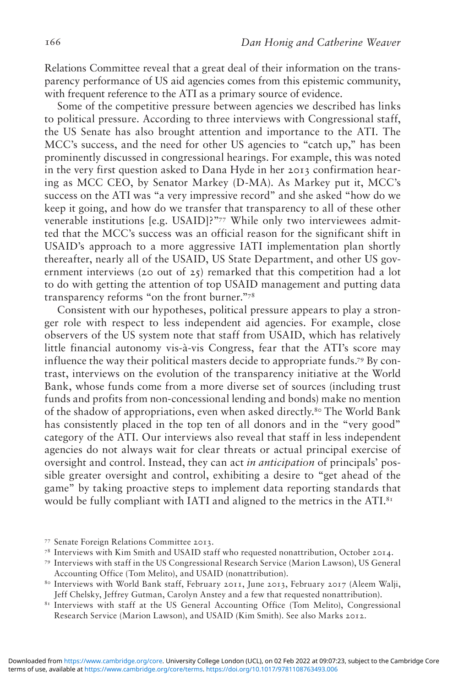Relations Committee reveal that a great deal of their information on the transparency performance of US aid agencies comes from this epistemic community, with frequent reference to the ATI as a primary source of evidence.

Some of the competitive pressure between agencies we described has links to political pressure. According to three interviews with Congressional staff, the US Senate has also brought attention and importance to the ATI. The MCC's success, and the need for other US agencies to "catch up," has been prominently discussed in congressional hearings. For example, this was noted in the very first question asked to Dana Hyde in her 2013 confirmation hearing as MCC CEO, by Senator Markey (D-MA). As Markey put it, MCC's success on the ATI was "a very impressive record" and she asked "how do we keep it going, and how do we transfer that transparency to all of these other venerable institutions [e.g. USAID]?"77 While only two interviewees admitted that the MCC's success was an official reason for the significant shift in USAID's approach to a more aggressive IATI implementation plan shortly thereafter, nearly all of the USAID, US State Department, and other US government interviews (20 out of 25) remarked that this competition had a lot to do with getting the attention of top USAID management and putting data transparency reforms "on the front burner."78

Consistent with our hypotheses, political pressure appears to play a stronger role with respect to less independent aid agencies. For example, close observers of the US system note that staff from USAID, which has relatively little financial autonomy vis-à-vis Congress, fear that the ATI's score may influence the way their political masters decide to appropriate funds.79 By contrast, interviews on the evolution of the transparency initiative at the World Bank, whose funds come from a more diverse set of sources (including trust funds and profits from non-concessional lending and bonds) make no mention of the shadow of appropriations, even when asked directly.80 The World Bank has consistently placed in the top ten of all donors and in the "very good" category of the ATI. Our interviews also reveal that staff in less independent agencies do not always wait for clear threats or actual principal exercise of oversight and control. Instead, they can act *in anticipation* of principals' possible greater oversight and control, exhibiting a desire to "get ahead of the game" by taking proactive steps to implement data reporting standards that would be fully compliant with IATI and aligned to the metrics in the ATI.<sup>81</sup>

- <sup>77</sup> Senate Foreign Relations Committee 2013.
- <sup>78</sup> Interviews with Kim Smith and USAID staff who requested nonattribution, October 2014.
- <sup>79</sup> Interviews with staff in the US Congressional Research Service (Marion Lawson), US General Accounting Office (Tom Melito), and USAID (nonattribution).
- 80 Interviews with World Bank staff, February 2011, June 2013, February 2017 (Aleem Walji, Jeff Chelsky, Jeffrey Gutman, Carolyn Anstey and a few that requested nonattribution).
- <sup>81</sup> Interviews with staff at the US General Accounting Office (Tom Melito), Congressional Research Service (Marion Lawson), and USAID (Kim Smith). See also Marks 2012.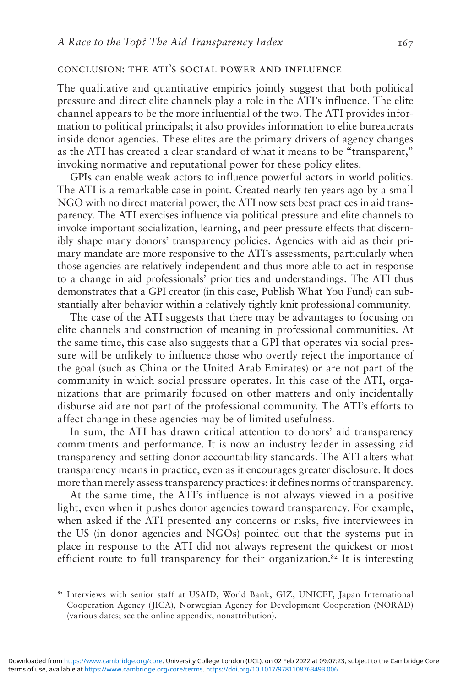### conclusion: the ati's social power and influence

The qualitative and quantitative empirics jointly suggest that both political pressure and direct elite channels play a role in the ATI's influence. The elite channel appears to be the more influential of the two. The ATI provides information to political principals; it also provides information to elite bureaucrats inside donor agencies. These elites are the primary drivers of agency changes as the ATI has created a clear standard of what it means to be "transparent," invoking normative and reputational power for these policy elites.

GPIs can enable weak actors to influence powerful actors in world politics. The ATI is a remarkable case in point. Created nearly ten years ago by a small NGO with no direct material power, the ATI now sets best practices in aid transparency. The ATI exercises influence via political pressure and elite channels to invoke important socialization, learning, and peer pressure effects that discernibly shape many donors' transparency policies. Agencies with aid as their primary mandate are more responsive to the ATI's assessments, particularly when those agencies are relatively independent and thus more able to act in response to a change in aid professionals' priorities and understandings. The ATI thus demonstrates that a GPI creator (in this case, Publish What You Fund) can substantially alter behavior within a relatively tightly knit professional community.

The case of the ATI suggests that there may be advantages to focusing on elite channels and construction of meaning in professional communities. At the same time, this case also suggests that a GPI that operates via social pressure will be unlikely to influence those who overtly reject the importance of the goal (such as China or the United Arab Emirates) or are not part of the community in which social pressure operates. In this case of the ATI, organizations that are primarily focused on other matters and only incidentally disburse aid are not part of the professional community. The ATI's efforts to affect change in these agencies may be of limited usefulness.

In sum, the ATI has drawn critical attention to donors' aid transparency commitments and performance. It is now an industry leader in assessing aid transparency and setting donor accountability standards. The ATI alters what transparency means in practice, even as it encourages greater disclosure. It does more than merely assess transparency practices: it defines norms of transparency.

At the same time, the ATI's influence is not always viewed in a positive light, even when it pushes donor agencies toward transparency. For example, when asked if the ATI presented any concerns or risks, five interviewees in the US (in donor agencies and NGOs) pointed out that the systems put in place in response to the ATI did not always represent the quickest or most efficient route to full transparency for their organization.<sup>82</sup> It is interesting

<sup>82</sup> Interviews with senior staff at USAID, World Bank, GIZ, UNICEF, Japan International Cooperation Agency (JICA), Norwegian Agency for Development Cooperation (NORAD) (various dates; see the online appendix, nonattribution).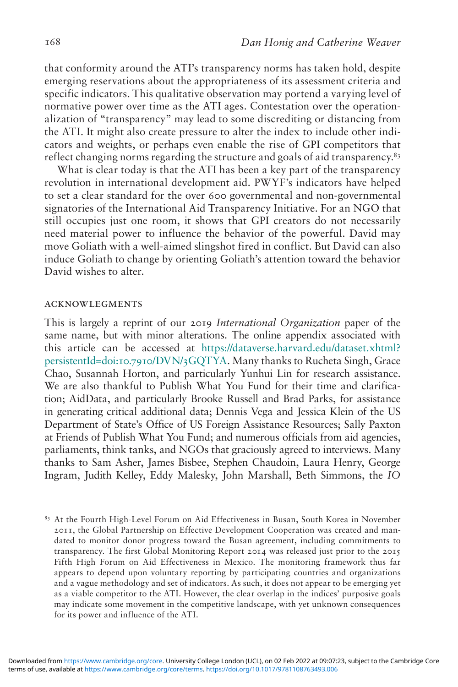that conformity around the ATI's transparency norms has taken hold, despite emerging reservations about the appropriateness of its assessment criteria and specific indicators. This qualitative observation may portend a varying level of normative power over time as the ATI ages. Contestation over the operationalization of "transparency" may lead to some discrediting or distancing from the ATI. It might also create pressure to alter the index to include other indicators and weights, or perhaps even enable the rise of GPI competitors that reflect changing norms regarding the structure and goals of aid transparency.<sup>83</sup>

What is clear today is that the ATI has been a key part of the transparency revolution in international development aid. PWYF's indicators have helped to set a clear standard for the over 600 governmental and non-governmental signatories of the International Aid Transparency Initiative. For an NGO that still occupies just one room, it shows that GPI creators do not necessarily need material power to influence the behavior of the powerful. David may move Goliath with a well-aimed slingshot fired in conflict. But David can also induce Goliath to change by orienting Goliath's attention toward the behavior David wishes to alter.

#### acknowlegments

This is largely a reprint of our 2019 *International Organization* paper of the same name, but with minor alterations. The online appendix associated with this article can be accessed at [https://dataverse.harvard.edu/dataset.xhtml?](https://dataverse.harvard.edu/dataset.xhtml?persistentId=doi:10.7910/DVN/3GQTYA) [persistentId=doi:10.7910/DVN/3GQTYA](https://dataverse.harvard.edu/dataset.xhtml?persistentId=doi:10.7910/DVN/3GQTYA). Many thanks to Rucheta Singh, Grace Chao, Susannah Horton, and particularly Yunhui Lin for research assistance. We are also thankful to Publish What You Fund for their time and clarification; AidData, and particularly Brooke Russell and Brad Parks, for assistance in generating critical additional data; Dennis Vega and Jessica Klein of the US Department of State's Office of US Foreign Assistance Resources; Sally Paxton at Friends of Publish What You Fund; and numerous officials from aid agencies, parliaments, think tanks, and NGOs that graciously agreed to interviews. Many thanks to Sam Asher, James Bisbee, Stephen Chaudoin, Laura Henry, George Ingram, Judith Kelley, Eddy Malesky, John Marshall, Beth Simmons, the *IO*

<sup>83</sup> At the Fourth High-Level Forum on Aid Effectiveness in Busan, South Korea in November 2011, the Global Partnership on Effective Development Cooperation was created and mandated to monitor donor progress toward the Busan agreement, including commitments to transparency. The first Global Monitoring Report 2014 was released just prior to the 2015 Fifth High Forum on Aid Effectiveness in Mexico. The monitoring framework thus far appears to depend upon voluntary reporting by participating countries and organizations and a vague methodology and set of indicators. As such, it does not appear to be emerging yet as a viable competitor to the ATI. However, the clear overlap in the indices' purposive goals may indicate some movement in the competitive landscape, with yet unknown consequences for its power and influence of the ATI.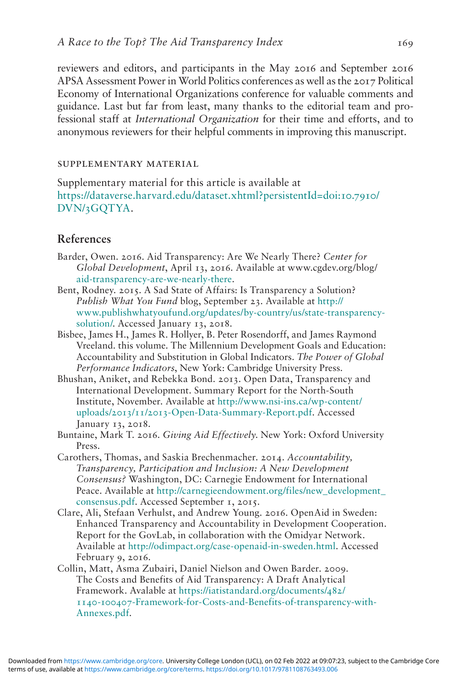reviewers and editors, and participants in the May 2016 and September 2016 APSA Assessment Power in World Politics conferences as well as the 2017 Political Economy of International Organizations conference for valuable comments and guidance. Last but far from least, many thanks to the editorial team and professional staff at *International Organization* for their time and efforts, and to anonymous reviewers for their helpful comments in improving this manuscript.

### supplementary material

Supplementary material for this article is available at [https://dataverse.harvard.edu/dataset.xhtml?persistentId=doi:10.7910/](https://dataverse.harvard.edu/dataset.xhtml?persistentId=doi:10.7910/DVN/3GQTYA) [DVN/3GQTYA](https://dataverse.harvard.edu/dataset.xhtml?persistentId=doi:10.7910/DVN/3GQTYA).

### **References**

- Barder, Owen. 2016. Aid Transparency: Are We Nearly There? *Center for Global Development*, April 13, 2016. Available at www.cgdev.org/blog/ [aid-transparency-are-we-nearly-there.](http://www.cgdev.org/blog/aid-transparency-are-we-nearly-there)
- Bent, Rodney. 2015. A Sad State of Affairs: Is Transparency a Solution? *Publish What You Fund* blog, September 23. Available at [http://](http://www.publishwhatyoufund.org/updates/by-country/us/state-transparency-solution/)  [www.publishwhatyoufund.org/updates/by-country/us/state-transparency](http://www.publishwhatyoufund.org/updates/by-country/us/state-transparency-solution/)[solution/](http://www.publishwhatyoufund.org/updates/by-country/us/state-transparency-solution/). Accessed January 13, 2018.
- Bisbee, James H., James R. Hollyer, B. Peter Rosendorff, and James Raymond Vreeland. this volume. The Millennium Development Goals and Education: Accountability and Substitution in Global Indicators. *The Power of Global Performance Indicators*, New York: Cambridge University Press.
- Bhushan, Aniket, and Rebekka Bond. 2013. Open Data, Transparency and International Development. Summary Report for the North-South Institute, November. Available at [http://www.nsi-ins.ca/wp-content/](http://www.nsi-ins.ca/wp-content/uploads/2013/11/2013-Open-Data-Summary-Report.pdf) [uploads/2013/11/2013-Open-Data-Summary-Report.pdf](http://www.nsi-ins.ca/wp-content/uploads/2013/11/2013-Open-Data-Summary-Report.pdf). Accessed January 13, 2018.
- Buntaine, Mark T. 2016. *Giving Aid Effectively*. New York: Oxford University Press.
- Carothers, Thomas, and Saskia Brechenmacher. 2014. *Accountability, Transparency, Participation and Inclusion: A New Development Consensus?* Washington, DC: Carnegie Endowment for International Peace. Available at [http://carnegieendowment.org/files/new\\_development\\_](http://carnegieendowment.org/files/new_development_consensus.pdf) [consensus.pdf](http://carnegieendowment.org/files/new_development_consensus.pdf). Accessed September 1, 2015.
- Clare, Ali, Stefaan Verhulst, and Andrew Young. 2016. OpenAid in Sweden: Enhanced Transparency and Accountability in Development Cooperation. Report for the GovLab, in collaboration with the Omidyar Network. Available at <http://odimpact.org/case-openaid-in-sweden.html>. Accessed February 9, 2016.
- Collin, Matt, Asma Zubairi, Daniel Nielson and Owen Barder. 2009. The Costs and Benefits of Aid Transparency: A Draft Analytical Framework. Avalable at [https://iatistandard.org/documents/482/](https://iatistandard.org/documents/482/1140-100407-Framework-for-Costs-and-Benefits-of-transparency-with-Annexes.pdf) [1140-100407-Framework-for-Costs-and-Benefits-of-transparency-with-](https://iatistandard.org/documents/482/1140-100407-Framework-for-Costs-and-Benefits-of-transparency-with-Annexes.pdf)[Annexes.pdf](https://iatistandard.org/documents/482/1140-100407-Framework-for-Costs-and-Benefits-of-transparency-with-Annexes.pdf).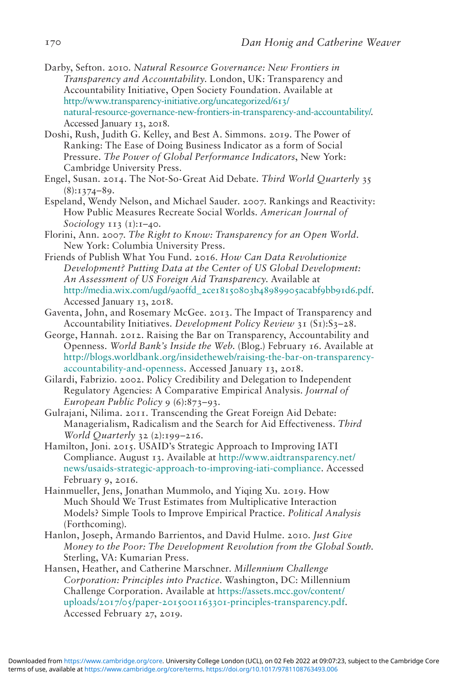Darby, Sefton. 2010. *Natural Resource Governance: New Frontiers in Transparency and Accountability*. London, UK: Transparency and Accountability Initiative, Open Society Foundation. Available at [http://www.transparency-initiative.org/uncategorized/613/](http://www.transparency-initiative.org/uncategorized/613/natural-resource-governance-new-frontiers-in-transparency-and-accountability/) [natural-resource-governance-new-frontiers-in-transparency-and-accountability/](http://www.transparency-initiative.org/uncategorized/613/natural-resource-governance-new-frontiers-in-transparency-and-accountability/). Accessed January 13, 2018.

- Doshi, Rush, Judith G. Kelley, and Best A. Simmons. 2019. The Power of Ranking: The Ease of Doing Business Indicator as a form of Social Pressure. *The Power of Global Performance Indicators*, New York: Cambridge University Press.
- Engel, Susan. 2014. The Not-So-Great Aid Debate. *Third World Quarterly* 35  $(8):1374-89.$
- Espeland, Wendy Nelson, and Michael Sauder. 2007. Rankings and Reactivity: How Public Measures Recreate Social Worlds. *American Journal of Sociology* 113 (1):1–40.
- Florini, Ann. 2007. *The Right to Know: Transparency for an Open World.* New York: Columbia University Press.
- Friends of Publish What You Fund. 2016. *How Can Data Revolutionize Development? Putting Data at the Center of US Global Development: An Assessment of US Foreign Aid Transparency*. Available at http://media.wix.com/ugd/9aoffd\_2ce18150803b48989905acabf9bb91d6.pdf. Accessed January 13, 2018.
- Gaventa, John, and Rosemary McGee. 2013. The Impact of Transparency and Accountability Initiatives. *Development Policy Review* 31 (S1):S3–28.
- George, Hannah. 2012. Raising the Bar on Transparency, Accountability and Openness. *World Bank's Inside the Web*. (Blog.) February 16. Available at [http://blogs.worldbank.org/insidetheweb/raising-the-bar-on-transparency](http://blogs.worldbank.org/insidetheweb/raising-the-bar-on-transparency-accountability-and-openness)[accountability-and-openness](http://blogs.worldbank.org/insidetheweb/raising-the-bar-on-transparency-accountability-and-openness). Accessed January 13, 2018.
- Gilardi, Fabrizio. 2002. Policy Credibility and Delegation to Independent Regulatory Agencies: A Comparative Empirical Analysis. *Journal of European Public Policy* 9 (6):873–93.
- Gulrajani, Nilima. 2011. Transcending the Great Foreign Aid Debate: Managerialism, Radicalism and the Search for Aid Effectiveness. *Third World Quarterly* 32 (2):199–216.
- Hamilton, Joni. 2015. USAID's Strategic Approach to Improving IATI Compliance. August 13. Available at [http://www.aidtransparency.net/](http://www.aidtransparency.net/news/usaids-strategic-approach-to-improving-iati-compliance) [news/usaids-strategic-approach-to-improving-iati-compliance](http://www.aidtransparency.net/news/usaids-strategic-approach-to-improving-iati-compliance). Accessed February 9, 2016.
- Hainmueller, Jens, Jonathan Mummolo, and Yiqing Xu. 2019. How Much Should We Trust Estimates from Multiplicative Interaction Models? Simple Tools to Improve Empirical Practice. *Political Analysis* (Forthcoming).
- Hanlon, Joseph, Armando Barrientos, and David Hulme. 2010. *Just Give Money to the Poor: The Development Revolution from the Global South*. Sterling, VA: Kumarian Press.
- Hansen, Heather, and Catherine Marschner. *Millennium Challenge Corporation: Principles into Practice*. Washington, DC: Millennium Challenge Corporation. Available at [https://assets.mcc.gov/content/](https://assets.mcc.gov/content/uploads/2017/05/paper-2015001163301-principles-transparency.pdf) [uploads/2017/05/paper-2015001163301-principles-transparency.pdf](https://assets.mcc.gov/content/uploads/2017/05/paper-2015001163301-principles-transparency.pdf). Accessed February 27, 2019.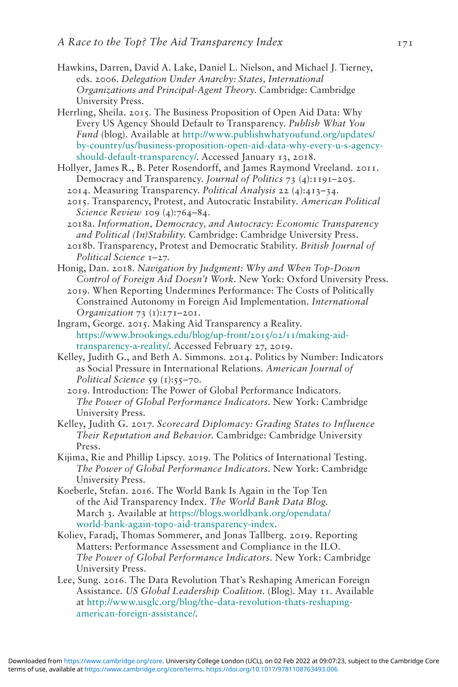- Hawkins, Darren, David A. Lake, Daniel L. Nielson, and Michael J. Tierney, eds. 2006. *Delegation Under Anarchy: States, International Organizations and Principal-Agent Theory*. Cambridge: Cambridge University Press.
- Herrling, Sheila. 2015. The Business Proposition of Open Aid Data: Why Every US Agency Should Default to Transparency. *Publish What You Fund* (blog). Available at [http://www.publishwhatyoufund.org/updates/](http://www.publishwhatyoufund.org/updates/by-country/us/business-proposition-open-aid-data-why-every-u-s-agency-should-default-transparency/) [by-country/us/business-proposition-open-aid-data-why-every-u-s-agency](http://www.publishwhatyoufund.org/updates/by-country/us/business-proposition-open-aid-data-why-every-u-s-agency-should-default-transparency/)[should-default-transparency/](http://www.publishwhatyoufund.org/updates/by-country/us/business-proposition-open-aid-data-why-every-u-s-agency-should-default-transparency/). Accessed January 13, 2018.
- Hollyer, James R., B. Peter Rosendorff, and James Raymond Vreeland. 2011. Democracy and Transparency. *Journal of Politics* 73 (4):1191–205.
	- 2014. Measuring Transparency. *Political Analysis* 22 (4):413–34.
	- 2015. Transparency, Protest, and Autocratic Instability. *American Political Science Review* 109 (4):764–84.
	- 2018a. *Information, Democracy, and Autocracy: Economic Transparency and Political (In)Stability*. Cambridge: Cambridge University Press.
	- 2018b. Transparency, Protest and Democratic Stability. *British Journal of Political Science* 1–27.
- Honig, Dan. 2018. *Navigation by Judgment: Why and When Top-Down Control of Foreign Aid Doesn't Work*. New York: Oxford University Press.
	- 2019. When Reporting Undermines Performance: The Costs of Politically Constrained Autonomy in Foreign Aid Implementation. *International Organization* 73 (1):171–201.
- Ingram, George. 2015. Making Aid Transparency a Reality. [https://www.brookings.edu/blog/up-front/2015/02/11/making-aid](https://www.brookings.edu/blog/up-front/2015/02/11/making-aid-transparency-a-reality/)[transparency-a-reality/](https://www.brookings.edu/blog/up-front/2015/02/11/making-aid-transparency-a-reality/). Accessed February 27, 2019.
- Kelley, Judith G., and Beth A. Simmons. 2014. Politics by Number: Indicators as Social Pressure in International Relations. *American Journal of Political Science* 59 (1):55–70.
	- 2019. Introduction: The Power of Global Performance Indicators. *The Power of Global Performance Indicators*. New York: Cambridge University Press.
- Kelley, Judith G. 2017. *Scorecard Diplomacy: Grading States to Influence Their Reputation and Behavior*. Cambridge: Cambridge University Press.
- Kijima, Rie and Phillip Lipscy. 2019. The Politics of International Testing. *The Power of Global Performance Indicators*. New York: Cambridge University Press.
- Koeberle, Stefan. 2016. The World Bank Is Again in the Top Ten of the Aid Transparency Index. *The World Bank Data Blog*. March 3. Available at [https://blogs.worldbank.org/opendata/](https://blogs.worldbank.org/opendata/world-bank-again-top0-aid-transparency-index) [world-bank-again-top0-aid-transparency-index](https://blogs.worldbank.org/opendata/world-bank-again-top0-aid-transparency-index).
- Koliev, Faradj, Thomas Sommerer, and Jonas Tallberg. 2019. Reporting Matters: Performance Assessment and Compliance in the ILO. *The Power of Global Performance Indicators*. New York: Cambridge University Press.
- Lee, Sung. 2016. The Data Revolution That's Reshaping American Foreign Assistance. *US Global Leadership Coalition*. (Blog). May 11. Available at [http://www.usglc.org/blog/the-data-revolution-thats-reshaping](http://www.usglc.org/blog/the-data-revolution-thats-reshaping-american-foreign-assistance/)[american-foreign-assistance/.](http://www.usglc.org/blog/the-data-revolution-thats-reshaping-american-foreign-assistance/)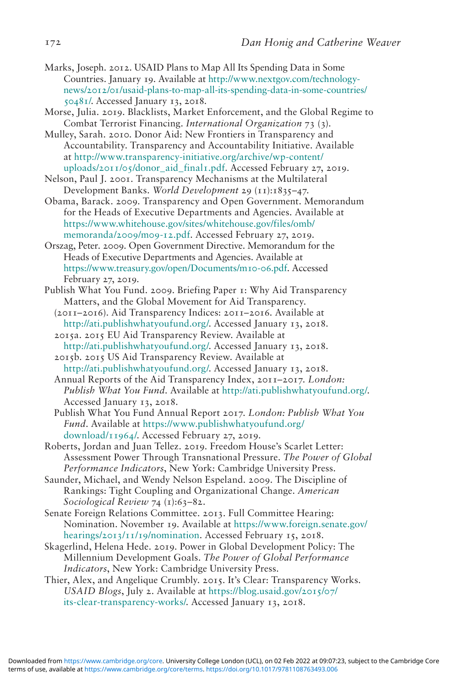- Marks, Joseph. 2012. USAID Plans to Map All Its Spending Data in Some Countries. January 19. Available at [http://www.nextgov.com/technology](http://www.nextgov.com/technology-news/2012/01/usaid-plans-to-map-all-its-spending-data-in-some-countries/50481/)[news/2012/01/usaid-plans-to-map-all-its-spending-data-in-some-countries/](http://www.nextgov.com/technology-news/2012/01/usaid-plans-to-map-all-its-spending-data-in-some-countries/50481/) [50481/](http://www.nextgov.com/technology-news/2012/01/usaid-plans-to-map-all-its-spending-data-in-some-countries/50481/). Accessed January 13, 2018.
- Morse, Julia. 2019. Blacklists, Market Enforcement, and the Global Regime to Combat Terrorist Financing. *International Organization* 73 (3).
- Mulley, Sarah. 2010. Donor Aid: New Frontiers in Transparency and Accountability. Transparency and Accountability Initiative. Available at [http://www.transparency-initiative.org/archive/wp-content/](http://www.transparency-initiative.org/archive/wp-content/uploads/2011/05/donor_aid_final1.pdf) [uploads/2011/05/donor\\_aid\\_final1.pdf](http://www.transparency-initiative.org/archive/wp-content/uploads/2011/05/donor_aid_final1.pdf). Accessed February 27, 2019.
- Nelson, Paul J. 2001. Transparency Mechanisms at the Multilateral Development Banks. *World Development* 29 (11):1835–47.
- Obama, Barack. 2009. Transparency and Open Government. Memorandum for the Heads of Executive Departments and Agencies. Available at [https://www.whitehouse.gov/sites/whitehouse.gov/files/omb/](https://www.whitehouse.gov/sites/whitehouse.gov/files/omb/memoranda/2009/m09-12.pdf) [memoranda/2009/m09-12.pdf](https://www.whitehouse.gov/sites/whitehouse.gov/files/omb/memoranda/2009/m09-12.pdf). Accessed February 27, 2019.
- Orszag, Peter. 2009. Open Government Directive. Memorandum for the Heads of Executive Departments and Agencies. Available at [https://www.treasury.gov/open/Documents/m10-06.pdf.](https://www.treasury.gov/open/Documents/m10-06.pdf) Accessed February 27, 2019.
- Publish What You Fund. 2009. Briefing Paper 1: Why Aid Transparency Matters, and the Global Movement for Aid Transparency.
	- (2011–2016). Aid Transparency Indices: 2011–2016. Available at <http://ati.publishwhatyoufund.org/>. Accessed January 13, 2018.
	- 2015a. 2015 EU Aid Transparency Review. Available at <http://ati.publishwhatyoufund.org/>. Accessed January 13, 2018.
	- 2015b. 2015 US Aid Transparency Review. Available at [http://ati.publishwhatyoufund.org/.](http://ati.publishwhatyoufund.org/) Accessed January 13, 2018. Annual Reports of the Aid Transparency Index, 2011–2017. *London:*
	- *Publish What You Fund*. Available at<http://ati.publishwhatyoufund.org/>. Accessed January 13, 2018.
	- Publish What You Fund Annual Report 2017. *London: Publish What You Fund*. Available at [https://www.publishwhatyoufund.org/](https://www.publishwhatyoufund.org/download/11964/) [download/11964/.](https://www.publishwhatyoufund.org/download/11964/) Accessed February 27, 2019.
- Roberts, Jordan and Juan Tellez. 2019. Freedom House's Scarlet Letter: Assessment Power Through Transnational Pressure. *The Power of Global Performance Indicators*, New York: Cambridge University Press.
- Saunder, Michael, and Wendy Nelson Espeland. 2009. The Discipline of Rankings: Tight Coupling and Organizational Change. *American Sociological Review* 74 (1):63–82.
- Senate Foreign Relations Committee. 2013. Full Committee Hearing: Nomination. November 19. Available at [https://www.foreign.senate.gov/](https://www.foreign.senate.gov/hearings/2013/11/19/nomination) [hearings/2013/11/19/nomination](https://www.foreign.senate.gov/hearings/2013/11/19/nomination). Accessed February 15, 2018.
- Skagerlind, Helena Hede. 2019. Power in Global Development Policy: The Millennium Development Goals. *The Power of Global Performance Indicators*, New York: Cambridge University Press.
- Thier, Alex, and Angelique Crumbly. 2015. It's Clear: Transparency Works. *USAID Blogs*, July 2. Available at [https://blog.usaid.gov/2015/07/](https://blog.usaid.gov/2015/07/its-clear-transparency-works/) [its-clear-transparency-works/](https://blog.usaid.gov/2015/07/its-clear-transparency-works/). Accessed January 13, 2018.